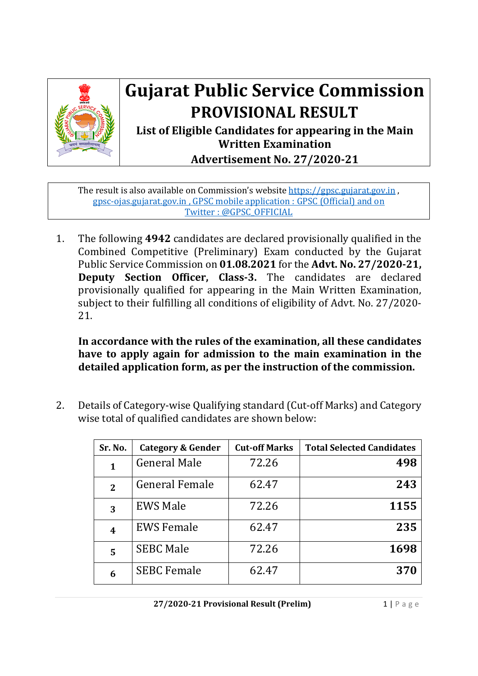

## **Gujarat Public Service Commission PROVISIONAL RESULT**

**List of Eligible Candidates for appearing in the Main Written Examination Advertisement No. 27/2020‐21**

The result is also available on Commission's website https://gpsc.gujarat.gov.in , gpsc-ojas.gujarat.gov.in , GPSC mobile application : GPSC (Official) and on Twitter : @GPSC\_OFFICIAL

1. The following **4942** candidates are declared provisionally qualified in the Combined Competitive (Preliminary) Exam conducted by the Gujarat Public Service Commission on **01.08.2021** for the **Advt. No. 27/2020‐21, Deputy Section Officer, Class‐3.** The candidates are declared provisionally qualified for appearing in the Main Written Examination, subject to their fulfilling all conditions of eligibility of Advt. No. 27/2020- 21.

**In accordance with the rules of the examination, all these candidates have to apply again for admission to the main examination in the detailed application form, as per the instruction of the commission.**

2. Details of Category-wise Qualifying standard (Cut-off Marks) and Category wise total of qualified candidates are shown below:

| Sr. No.        | <b>Category &amp; Gender</b> | <b>Cut-off Marks</b> | <b>Total Selected Candidates</b> |
|----------------|------------------------------|----------------------|----------------------------------|
| 1              | <b>General Male</b>          | 72.26                | 498                              |
| $\overline{2}$ | <b>General Female</b>        | 62.47                | 243                              |
| 3              | <b>EWS Male</b>              | 72.26                | 1155                             |
| 4              | <b>EWS Female</b>            | 62.47                | 235                              |
| 5              | <b>SEBC Male</b>             | 72.26                | 1698                             |
| 6              | <b>SEBC Female</b>           | 62.47                | 370                              |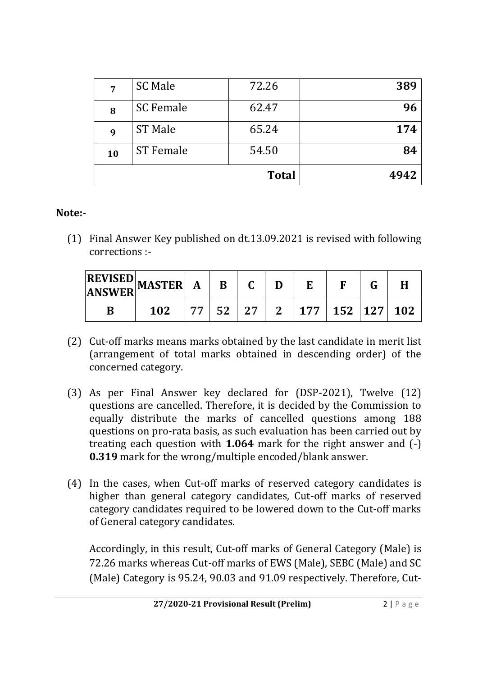| 7  | <b>SC Male</b>   | 72.26        | 389  |
|----|------------------|--------------|------|
| 8  | <b>SC Female</b> | 62.47        | 96   |
| 9  | <b>ST Male</b>   | 65.24        | 174  |
| 10 | <b>ST Female</b> | 54.50        | 84   |
|    |                  | <b>Total</b> | 4942 |

## **Note:‐**

(1) Final Answer Key published on dt.13.09.2021 is revised with following corrections :-

| 102 |  |  | 77   52   27   2   177   152   127   102 |  |  |
|-----|--|--|------------------------------------------|--|--|

- (2) Cut-off marks means marks obtained by the last candidate in merit list (arrangement of total marks obtained in descending order) of the concerned category.
- (3) As per Final Answer key declared for (DSP-2021), Twelve (12) questions are cancelled. Therefore, it is decided by the Commission to equally distribute the marks of cancelled questions among 188 questions on pro-rata basis, as such evaluation has been carried out by treating each question with **1.064** mark for the right answer and (-) **0.319** mark for the wrong/multiple encoded/blank answer.
- (4) In the cases, when Cut-off marks of reserved category candidates is higher than general category candidates, Cut-off marks of reserved category candidates required to be lowered down to the Cut-off marks of General category candidates.

Accordingly, in this result, Cut-off marks of General Category (Male) is 72.26 marks whereas Cut-off marks of EWS (Male), SEBC (Male) and SC (Male) Category is 95.24, 90.03 and 91.09 respectively. Therefore, Cut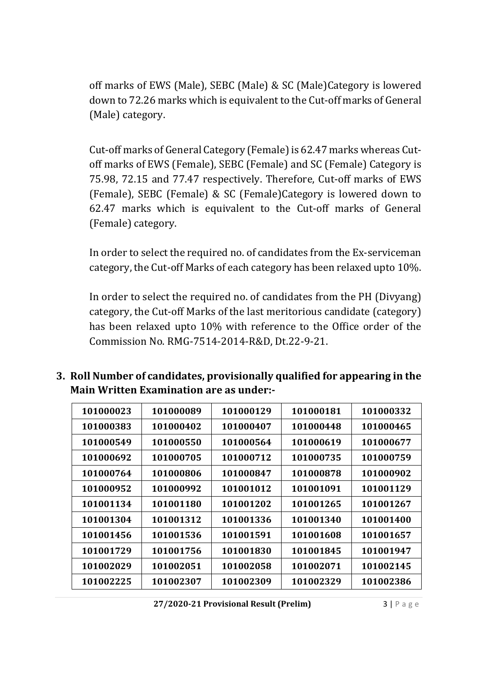off marks of EWS (Male), SEBC (Male) & SC (Male)Category is lowered down to 72.26 marks which is equivalent to the Cut-off marks of General (Male) category.

Cut-off marks of General Category (Female) is 62.47 marks whereas Cutoff marks of EWS (Female), SEBC (Female) and SC (Female) Category is 75.98, 72.15 and 77.47 respectively. Therefore, Cut-off marks of EWS (Female), SEBC (Female) & SC (Female)Category is lowered down to 62.47 marks which is equivalent to the Cut-off marks of General (Female) category.

In order to select the required no. of candidates from the Ex-serviceman category, the Cut-off Marks of each category has been relaxed upto 10%.

In order to select the required no. of candidates from the PH (Divyang) category, the Cut-off Marks of the last meritorious candidate (category) has been relaxed upto 10% with reference to the Office order of the Commission No. RMG-7514-2014-R&D, Dt.22-9-21.

**3. Roll Number of candidates, provisionally qualified for appearing in the Main Written Examination are as under:‐** 

| 101000023 | 101000089 | 101000129 | 101000181 | 101000332 |
|-----------|-----------|-----------|-----------|-----------|
| 101000383 | 101000402 | 101000407 | 101000448 | 101000465 |
| 101000549 | 101000550 | 101000564 | 101000619 | 101000677 |
| 101000692 | 101000705 | 101000712 | 101000735 | 101000759 |
| 101000764 | 101000806 | 101000847 | 101000878 | 101000902 |
| 101000952 | 101000992 | 101001012 | 101001091 | 101001129 |
| 101001134 | 101001180 | 101001202 | 101001265 | 101001267 |
| 101001304 | 101001312 | 101001336 | 101001340 | 101001400 |
| 101001456 | 101001536 | 101001591 | 101001608 | 101001657 |
| 101001729 | 101001756 | 101001830 | 101001845 | 101001947 |
| 101002029 | 101002051 | 101002058 | 101002071 | 101002145 |
| 101002225 | 101002307 | 101002309 | 101002329 | 101002386 |

**27/2020‐21 Provisional Result (Prelim)** 3 | Page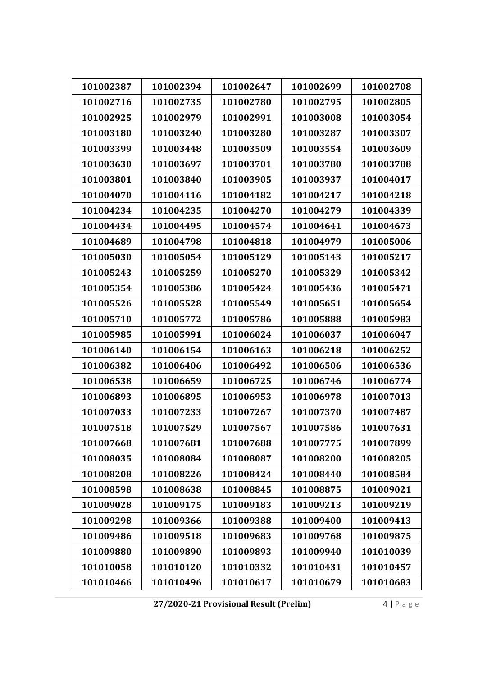| 101002387 | 101002394 | 101002647 | 101002699 | 101002708 |
|-----------|-----------|-----------|-----------|-----------|
| 101002716 | 101002735 | 101002780 | 101002795 | 101002805 |
| 101002925 | 101002979 | 101002991 | 101003008 | 101003054 |
| 101003180 | 101003240 | 101003280 | 101003287 | 101003307 |
| 101003399 | 101003448 | 101003509 | 101003554 | 101003609 |
| 101003630 | 101003697 | 101003701 | 101003780 | 101003788 |
| 101003801 | 101003840 | 101003905 | 101003937 | 101004017 |
| 101004070 | 101004116 | 101004182 | 101004217 | 101004218 |
| 101004234 | 101004235 | 101004270 | 101004279 | 101004339 |
| 101004434 | 101004495 | 101004574 | 101004641 | 101004673 |
| 101004689 | 101004798 | 101004818 | 101004979 | 101005006 |
| 101005030 | 101005054 | 101005129 | 101005143 | 101005217 |
| 101005243 | 101005259 | 101005270 | 101005329 | 101005342 |
| 101005354 | 101005386 | 101005424 | 101005436 | 101005471 |
| 101005526 | 101005528 | 101005549 | 101005651 | 101005654 |
| 101005710 | 101005772 | 101005786 | 101005888 | 101005983 |
| 101005985 | 101005991 | 101006024 | 101006037 | 101006047 |
| 101006140 | 101006154 | 101006163 | 101006218 | 101006252 |
| 101006382 | 101006406 | 101006492 | 101006506 | 101006536 |
| 101006538 | 101006659 | 101006725 | 101006746 | 101006774 |
| 101006893 | 101006895 | 101006953 | 101006978 | 101007013 |
| 101007033 | 101007233 | 101007267 | 101007370 | 101007487 |
| 101007518 | 101007529 | 101007567 | 101007586 | 101007631 |
| 101007668 | 101007681 | 101007688 | 101007775 | 101007899 |
| 101008035 | 101008084 | 101008087 | 101008200 | 101008205 |
| 101008208 | 101008226 | 101008424 | 101008440 | 101008584 |
| 101008598 | 101008638 | 101008845 | 101008875 | 101009021 |
| 101009028 | 101009175 | 101009183 | 101009213 | 101009219 |
| 101009298 | 101009366 | 101009388 | 101009400 | 101009413 |
| 101009486 | 101009518 | 101009683 | 101009768 | 101009875 |
| 101009880 | 101009890 | 101009893 | 101009940 | 101010039 |
| 101010058 | 101010120 | 101010332 | 101010431 | 101010457 |
| 101010466 | 101010496 | 101010617 | 101010679 | 101010683 |

**27/2020‐21 Provisional Result (Prelim)** 4 | Page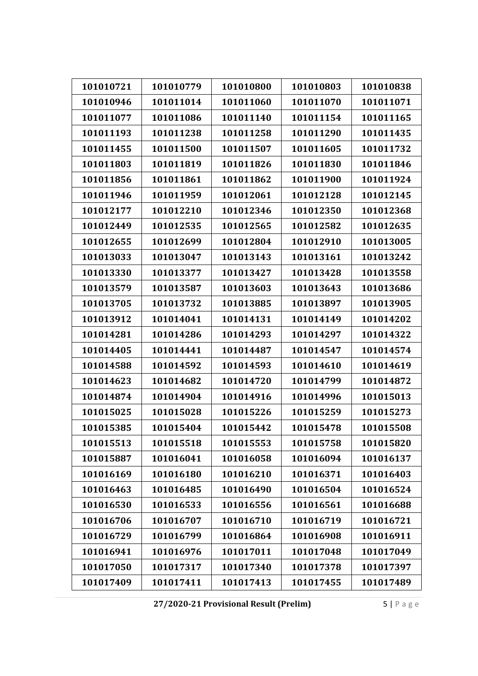| 101010721 | 101010779 | 101010800 | 101010803 | 101010838 |
|-----------|-----------|-----------|-----------|-----------|
| 101010946 | 101011014 | 101011060 | 101011070 | 101011071 |
| 101011077 | 101011086 | 101011140 | 101011154 | 101011165 |
| 101011193 | 101011238 | 101011258 | 101011290 | 101011435 |
| 101011455 | 101011500 | 101011507 | 101011605 | 101011732 |
| 101011803 | 101011819 | 101011826 | 101011830 | 101011846 |
| 101011856 | 101011861 | 101011862 | 101011900 | 101011924 |
| 101011946 | 101011959 | 101012061 | 101012128 | 101012145 |
| 101012177 | 101012210 | 101012346 | 101012350 | 101012368 |
| 101012449 | 101012535 | 101012565 | 101012582 | 101012635 |
| 101012655 | 101012699 | 101012804 | 101012910 | 101013005 |
| 101013033 | 101013047 | 101013143 | 101013161 | 101013242 |
| 101013330 | 101013377 | 101013427 | 101013428 | 101013558 |
| 101013579 | 101013587 | 101013603 | 101013643 | 101013686 |
| 101013705 | 101013732 | 101013885 | 101013897 | 101013905 |
| 101013912 | 101014041 | 101014131 | 101014149 | 101014202 |
| 101014281 | 101014286 | 101014293 | 101014297 | 101014322 |
| 101014405 | 101014441 | 101014487 | 101014547 | 101014574 |
| 101014588 | 101014592 | 101014593 | 101014610 | 101014619 |
| 101014623 | 101014682 | 101014720 | 101014799 | 101014872 |
| 101014874 | 101014904 | 101014916 | 101014996 | 101015013 |
| 101015025 | 101015028 | 101015226 | 101015259 | 101015273 |
| 101015385 | 101015404 | 101015442 | 101015478 | 101015508 |
| 101015513 | 101015518 | 101015553 | 101015758 | 101015820 |
| 101015887 | 101016041 | 101016058 | 101016094 | 101016137 |
| 101016169 | 101016180 | 101016210 | 101016371 | 101016403 |
| 101016463 | 101016485 | 101016490 | 101016504 | 101016524 |
| 101016530 | 101016533 | 101016556 | 101016561 | 101016688 |
| 101016706 | 101016707 | 101016710 | 101016719 | 101016721 |
| 101016729 | 101016799 | 101016864 | 101016908 | 101016911 |
| 101016941 | 101016976 | 101017011 | 101017048 | 101017049 |
| 101017050 | 101017317 | 101017340 | 101017378 | 101017397 |
| 101017409 | 101017411 | 101017413 | 101017455 | 101017489 |

**27/2020‐21 Provisional Result (Prelim)** 5 | Page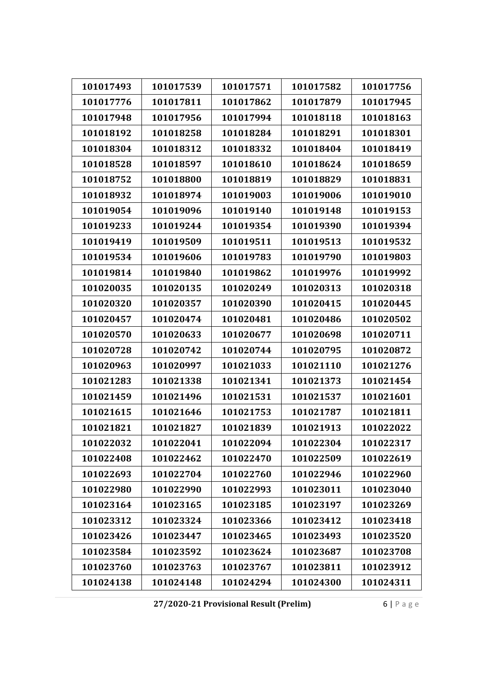| 101017493 | 101017539 | 101017571 | 101017582 | 101017756 |
|-----------|-----------|-----------|-----------|-----------|
| 101017776 | 101017811 | 101017862 | 101017879 | 101017945 |
| 101017948 | 101017956 | 101017994 | 101018118 | 101018163 |
| 101018192 | 101018258 | 101018284 | 101018291 | 101018301 |
| 101018304 | 101018312 | 101018332 | 101018404 | 101018419 |
| 101018528 | 101018597 | 101018610 | 101018624 | 101018659 |
| 101018752 | 101018800 | 101018819 | 101018829 | 101018831 |
| 101018932 | 101018974 | 101019003 | 101019006 | 101019010 |
| 101019054 | 101019096 | 101019140 | 101019148 | 101019153 |
| 101019233 | 101019244 | 101019354 | 101019390 | 101019394 |
| 101019419 | 101019509 | 101019511 | 101019513 | 101019532 |
| 101019534 | 101019606 | 101019783 | 101019790 | 101019803 |
| 101019814 | 101019840 | 101019862 | 101019976 | 101019992 |
| 101020035 | 101020135 | 101020249 | 101020313 | 101020318 |
| 101020320 | 101020357 | 101020390 | 101020415 | 101020445 |
| 101020457 | 101020474 | 101020481 | 101020486 | 101020502 |
| 101020570 | 101020633 | 101020677 | 101020698 | 101020711 |
| 101020728 | 101020742 | 101020744 | 101020795 | 101020872 |
| 101020963 | 101020997 | 101021033 | 101021110 | 101021276 |
| 101021283 | 101021338 | 101021341 | 101021373 | 101021454 |
| 101021459 | 101021496 | 101021531 | 101021537 | 101021601 |
| 101021615 | 101021646 | 101021753 | 101021787 | 101021811 |
| 101021821 | 101021827 | 101021839 | 101021913 | 101022022 |
| 101022032 | 101022041 | 101022094 | 101022304 | 101022317 |
| 101022408 | 101022462 | 101022470 | 101022509 | 101022619 |
| 101022693 | 101022704 | 101022760 | 101022946 | 101022960 |
| 101022980 | 101022990 | 101022993 | 101023011 | 101023040 |
| 101023164 | 101023165 | 101023185 | 101023197 | 101023269 |
| 101023312 | 101023324 | 101023366 | 101023412 | 101023418 |
| 101023426 | 101023447 | 101023465 | 101023493 | 101023520 |
| 101023584 | 101023592 | 101023624 | 101023687 | 101023708 |
| 101023760 | 101023763 | 101023767 | 101023811 | 101023912 |
| 101024138 | 101024148 | 101024294 | 101024300 | 101024311 |

**27/2020‐21 Provisional Result (Prelim)** 6 | Page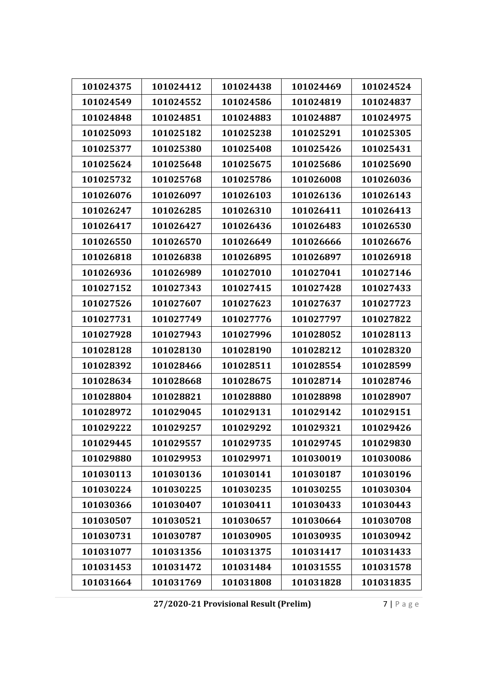| 101024375 | 101024412 | 101024438 | 101024469 | 101024524 |
|-----------|-----------|-----------|-----------|-----------|
| 101024549 | 101024552 | 101024586 | 101024819 | 101024837 |
| 101024848 | 101024851 | 101024883 | 101024887 | 101024975 |
| 101025093 | 101025182 | 101025238 | 101025291 | 101025305 |
| 101025377 | 101025380 | 101025408 | 101025426 | 101025431 |
| 101025624 | 101025648 | 101025675 | 101025686 | 101025690 |
| 101025732 | 101025768 | 101025786 | 101026008 | 101026036 |
| 101026076 | 101026097 | 101026103 | 101026136 | 101026143 |
| 101026247 | 101026285 | 101026310 | 101026411 | 101026413 |
| 101026417 | 101026427 | 101026436 | 101026483 | 101026530 |
| 101026550 | 101026570 | 101026649 | 101026666 | 101026676 |
| 101026818 | 101026838 | 101026895 | 101026897 | 101026918 |
| 101026936 | 101026989 | 101027010 | 101027041 | 101027146 |
| 101027152 | 101027343 | 101027415 | 101027428 | 101027433 |
| 101027526 | 101027607 | 101027623 | 101027637 | 101027723 |
| 101027731 | 101027749 | 101027776 | 101027797 | 101027822 |
| 101027928 | 101027943 | 101027996 | 101028052 | 101028113 |
| 101028128 | 101028130 | 101028190 | 101028212 | 101028320 |
| 101028392 | 101028466 | 101028511 | 101028554 | 101028599 |
| 101028634 | 101028668 | 101028675 | 101028714 | 101028746 |
| 101028804 | 101028821 | 101028880 | 101028898 | 101028907 |
| 101028972 | 101029045 | 101029131 | 101029142 | 101029151 |
| 101029222 | 101029257 | 101029292 | 101029321 | 101029426 |
| 101029445 | 101029557 | 101029735 | 101029745 | 101029830 |
| 101029880 | 101029953 | 101029971 | 101030019 | 101030086 |
| 101030113 | 101030136 | 101030141 | 101030187 | 101030196 |
| 101030224 | 101030225 | 101030235 | 101030255 | 101030304 |
| 101030366 | 101030407 | 101030411 | 101030433 | 101030443 |
| 101030507 | 101030521 | 101030657 | 101030664 | 101030708 |
| 101030731 | 101030787 | 101030905 | 101030935 | 101030942 |
| 101031077 | 101031356 | 101031375 | 101031417 | 101031433 |
| 101031453 | 101031472 | 101031484 | 101031555 | 101031578 |
| 101031664 | 101031769 | 101031808 | 101031828 | 101031835 |

**27/2020‐21 Provisional Result (Prelim)** 7 | Page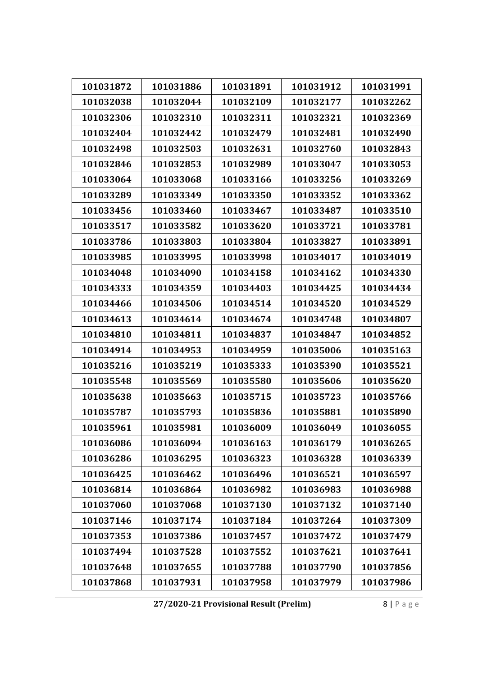| 101031872 | 101031886 | 101031891 | 101031912 | 101031991 |
|-----------|-----------|-----------|-----------|-----------|
| 101032038 | 101032044 | 101032109 | 101032177 | 101032262 |
| 101032306 | 101032310 | 101032311 | 101032321 | 101032369 |
| 101032404 | 101032442 | 101032479 | 101032481 | 101032490 |
| 101032498 | 101032503 | 101032631 | 101032760 | 101032843 |
| 101032846 | 101032853 | 101032989 | 101033047 | 101033053 |
| 101033064 | 101033068 | 101033166 | 101033256 | 101033269 |
| 101033289 | 101033349 | 101033350 | 101033352 | 101033362 |
| 101033456 | 101033460 | 101033467 | 101033487 | 101033510 |
| 101033517 | 101033582 | 101033620 | 101033721 | 101033781 |
| 101033786 | 101033803 | 101033804 | 101033827 | 101033891 |
| 101033985 | 101033995 | 101033998 | 101034017 | 101034019 |
| 101034048 | 101034090 | 101034158 | 101034162 | 101034330 |
| 101034333 | 101034359 | 101034403 | 101034425 | 101034434 |
| 101034466 | 101034506 | 101034514 | 101034520 | 101034529 |
| 101034613 | 101034614 | 101034674 | 101034748 | 101034807 |
| 101034810 | 101034811 | 101034837 | 101034847 | 101034852 |
| 101034914 | 101034953 | 101034959 | 101035006 | 101035163 |
| 101035216 | 101035219 | 101035333 | 101035390 | 101035521 |
| 101035548 | 101035569 | 101035580 | 101035606 | 101035620 |
| 101035638 | 101035663 | 101035715 | 101035723 | 101035766 |
| 101035787 | 101035793 | 101035836 | 101035881 | 101035890 |
| 101035961 | 101035981 | 101036009 | 101036049 | 101036055 |
| 101036086 | 101036094 | 101036163 | 101036179 | 101036265 |
| 101036286 | 101036295 | 101036323 | 101036328 | 101036339 |
| 101036425 | 101036462 | 101036496 | 101036521 | 101036597 |
| 101036814 | 101036864 | 101036982 | 101036983 | 101036988 |
| 101037060 | 101037068 | 101037130 | 101037132 | 101037140 |
| 101037146 | 101037174 | 101037184 | 101037264 | 101037309 |
| 101037353 | 101037386 | 101037457 | 101037472 | 101037479 |
| 101037494 | 101037528 | 101037552 | 101037621 | 101037641 |
| 101037648 | 101037655 | 101037788 | 101037790 | 101037856 |
| 101037868 | 101037931 | 101037958 | 101037979 | 101037986 |

**27/2020‐21 Provisional Result (Prelim)** 8 | Page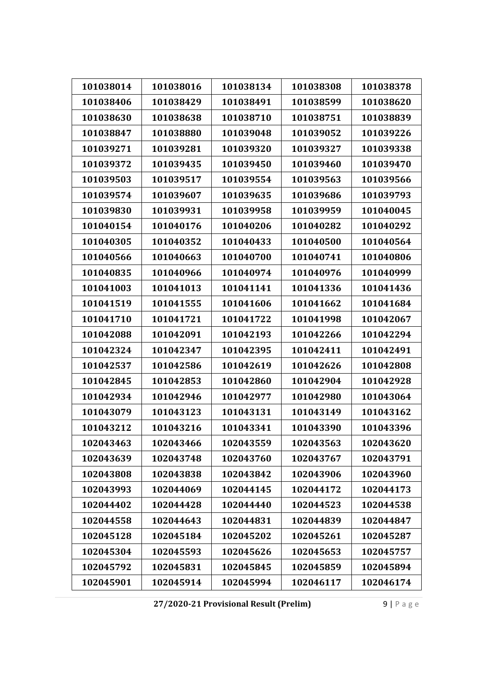| 101038014 | 101038016 | 101038134 | 101038308 | 101038378 |
|-----------|-----------|-----------|-----------|-----------|
| 101038406 | 101038429 | 101038491 | 101038599 | 101038620 |
| 101038630 | 101038638 | 101038710 | 101038751 | 101038839 |
| 101038847 | 101038880 | 101039048 | 101039052 | 101039226 |
| 101039271 | 101039281 | 101039320 | 101039327 | 101039338 |
| 101039372 | 101039435 | 101039450 | 101039460 | 101039470 |
| 101039503 | 101039517 | 101039554 | 101039563 | 101039566 |
| 101039574 | 101039607 | 101039635 | 101039686 | 101039793 |
| 101039830 | 101039931 | 101039958 | 101039959 | 101040045 |
| 101040154 | 101040176 | 101040206 | 101040282 | 101040292 |
| 101040305 | 101040352 | 101040433 | 101040500 | 101040564 |
| 101040566 | 101040663 | 101040700 | 101040741 | 101040806 |
| 101040835 | 101040966 | 101040974 | 101040976 | 101040999 |
| 101041003 | 101041013 | 101041141 | 101041336 | 101041436 |
| 101041519 | 101041555 | 101041606 | 101041662 | 101041684 |
| 101041710 | 101041721 | 101041722 | 101041998 | 101042067 |
| 101042088 | 101042091 | 101042193 | 101042266 | 101042294 |
| 101042324 | 101042347 | 101042395 | 101042411 | 101042491 |
| 101042537 | 101042586 | 101042619 | 101042626 | 101042808 |
| 101042845 | 101042853 | 101042860 | 101042904 | 101042928 |
| 101042934 | 101042946 | 101042977 | 101042980 | 101043064 |
| 101043079 | 101043123 | 101043131 | 101043149 | 101043162 |
| 101043212 | 101043216 | 101043341 | 101043390 | 101043396 |
| 102043463 | 102043466 | 102043559 | 102043563 | 102043620 |
| 102043639 | 102043748 | 102043760 | 102043767 | 102043791 |
| 102043808 | 102043838 | 102043842 | 102043906 | 102043960 |
| 102043993 | 102044069 | 102044145 | 102044172 | 102044173 |
| 102044402 | 102044428 | 102044440 | 102044523 | 102044538 |
| 102044558 | 102044643 | 102044831 | 102044839 | 102044847 |
| 102045128 | 102045184 | 102045202 | 102045261 | 102045287 |
| 102045304 | 102045593 | 102045626 | 102045653 | 102045757 |
| 102045792 | 102045831 | 102045845 | 102045859 | 102045894 |
| 102045901 | 102045914 | 102045994 | 102046117 | 102046174 |

**27/2020‐21 Provisional Result (Prelim)** 9 | Page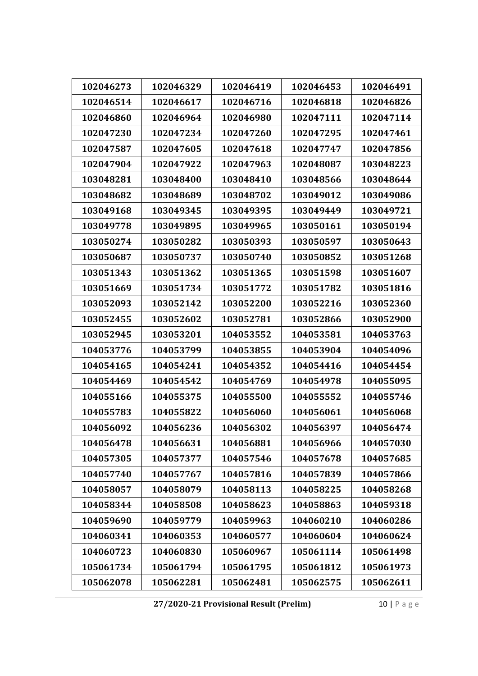| 102046273 | 102046329 | 102046419 | 102046453 | 102046491 |
|-----------|-----------|-----------|-----------|-----------|
| 102046514 | 102046617 | 102046716 | 102046818 | 102046826 |
| 102046860 | 102046964 | 102046980 | 102047111 | 102047114 |
| 102047230 | 102047234 | 102047260 | 102047295 | 102047461 |
|           |           |           |           |           |
| 102047587 | 102047605 | 102047618 | 102047747 | 102047856 |
| 102047904 | 102047922 | 102047963 | 102048087 | 103048223 |
| 103048281 | 103048400 | 103048410 | 103048566 | 103048644 |
| 103048682 | 103048689 | 103048702 | 103049012 | 103049086 |
| 103049168 | 103049345 | 103049395 | 103049449 | 103049721 |
| 103049778 | 103049895 | 103049965 | 103050161 | 103050194 |
| 103050274 | 103050282 | 103050393 | 103050597 | 103050643 |
| 103050687 | 103050737 | 103050740 | 103050852 | 103051268 |
| 103051343 | 103051362 | 103051365 | 103051598 | 103051607 |
| 103051669 | 103051734 | 103051772 | 103051782 | 103051816 |
| 103052093 | 103052142 | 103052200 | 103052216 | 103052360 |
| 103052455 | 103052602 | 103052781 | 103052866 | 103052900 |
| 103052945 | 103053201 | 104053552 | 104053581 | 104053763 |
| 104053776 | 104053799 | 104053855 | 104053904 | 104054096 |
| 104054165 | 104054241 | 104054352 | 104054416 | 104054454 |
| 104054469 | 104054542 | 104054769 | 104054978 | 104055095 |
| 104055166 | 104055375 | 104055500 | 104055552 | 104055746 |
| 104055783 | 104055822 | 104056060 | 104056061 | 104056068 |
| 104056092 | 104056236 | 104056302 | 104056397 | 104056474 |
| 104056478 | 104056631 | 104056881 | 104056966 | 104057030 |
| 104057305 | 104057377 | 104057546 | 104057678 | 104057685 |
| 104057740 | 104057767 | 104057816 | 104057839 | 104057866 |
| 104058057 | 104058079 | 104058113 | 104058225 | 104058268 |
| 104058344 | 104058508 | 104058623 | 104058863 | 104059318 |
| 104059690 | 104059779 | 104059963 | 104060210 | 104060286 |
| 104060341 | 104060353 | 104060577 | 104060604 | 104060624 |
| 104060723 | 104060830 | 105060967 | 105061114 | 105061498 |
| 105061734 | 105061794 | 105061795 | 105061812 | 105061973 |
| 105062078 | 105062281 | 105062481 | 105062575 | 105062611 |

**27/2020‐21 Provisional Result (Prelim)** 10 | Page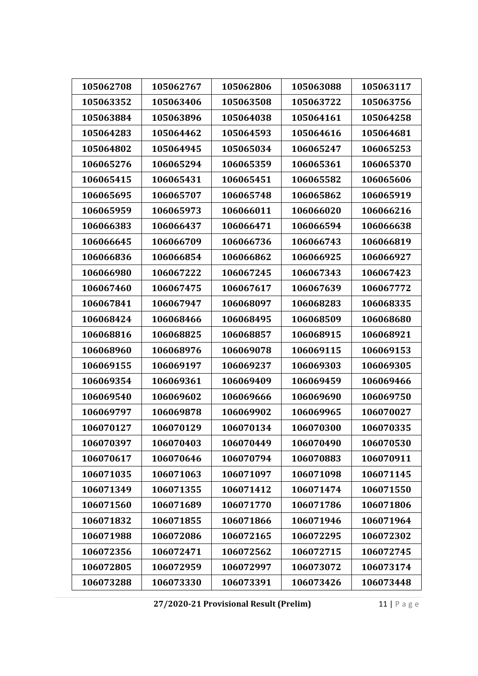| 105062708 | 105062767 | 105062806 | 105063088 | 105063117 |
|-----------|-----------|-----------|-----------|-----------|
| 105063352 | 105063406 | 105063508 | 105063722 | 105063756 |
| 105063884 | 105063896 | 105064038 | 105064161 | 105064258 |
| 105064283 | 105064462 | 105064593 | 105064616 | 105064681 |
| 105064802 | 105064945 | 105065034 | 106065247 | 106065253 |
| 106065276 | 106065294 | 106065359 | 106065361 | 106065370 |
| 106065415 | 106065431 | 106065451 | 106065582 | 106065606 |
| 106065695 | 106065707 | 106065748 | 106065862 | 106065919 |
| 106065959 | 106065973 | 106066011 | 106066020 | 106066216 |
| 106066383 | 106066437 | 106066471 | 106066594 | 106066638 |
| 106066645 | 106066709 | 106066736 | 106066743 | 106066819 |
| 106066836 | 106066854 | 106066862 | 106066925 | 106066927 |
| 106066980 | 106067222 | 106067245 | 106067343 | 106067423 |
| 106067460 | 106067475 | 106067617 | 106067639 | 106067772 |
| 106067841 | 106067947 | 106068097 | 106068283 | 106068335 |
| 106068424 | 106068466 | 106068495 | 106068509 | 106068680 |
| 106068816 | 106068825 | 106068857 | 106068915 | 106068921 |
| 106068960 | 106068976 | 106069078 | 106069115 | 106069153 |
| 106069155 | 106069197 | 106069237 | 106069303 | 106069305 |
| 106069354 | 106069361 | 106069409 | 106069459 | 106069466 |
| 106069540 | 106069602 | 106069666 | 106069690 | 106069750 |
| 106069797 | 106069878 | 106069902 | 106069965 | 106070027 |
| 106070127 | 106070129 | 106070134 | 106070300 | 106070335 |
| 106070397 | 106070403 | 106070449 | 106070490 | 106070530 |
| 106070617 | 106070646 | 106070794 | 106070883 | 106070911 |
| 106071035 | 106071063 | 106071097 | 106071098 | 106071145 |
| 106071349 | 106071355 | 106071412 | 106071474 | 106071550 |
| 106071560 | 106071689 | 106071770 | 106071786 | 106071806 |
| 106071832 | 106071855 | 106071866 | 106071946 | 106071964 |
| 106071988 | 106072086 | 106072165 | 106072295 | 106072302 |
| 106072356 | 106072471 | 106072562 | 106072715 | 106072745 |
| 106072805 | 106072959 | 106072997 | 106073072 | 106073174 |
| 106073288 | 106073330 | 106073391 | 106073426 | 106073448 |

**27/2020‐21 Provisional Result (Prelim)** 11 | Page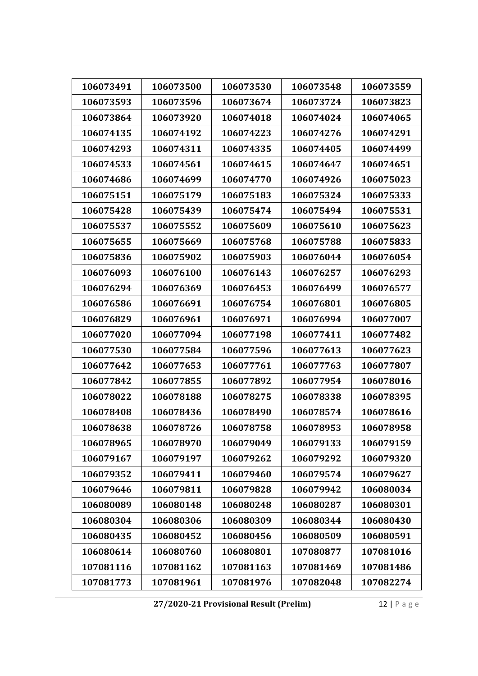| 106073491 | 106073500 | 106073530 | 106073548 | 106073559 |
|-----------|-----------|-----------|-----------|-----------|
| 106073593 | 106073596 | 106073674 | 106073724 | 106073823 |
| 106073864 | 106073920 | 106074018 | 106074024 | 106074065 |
| 106074135 | 106074192 | 106074223 | 106074276 | 106074291 |
| 106074293 | 106074311 | 106074335 | 106074405 | 106074499 |
| 106074533 | 106074561 | 106074615 | 106074647 | 106074651 |
| 106074686 | 106074699 | 106074770 | 106074926 | 106075023 |
| 106075151 | 106075179 | 106075183 | 106075324 | 106075333 |
| 106075428 | 106075439 | 106075474 | 106075494 | 106075531 |
| 106075537 | 106075552 | 106075609 | 106075610 | 106075623 |
| 106075655 | 106075669 | 106075768 | 106075788 | 106075833 |
| 106075836 | 106075902 | 106075903 | 106076044 | 106076054 |
| 106076093 | 106076100 | 106076143 | 106076257 | 106076293 |
| 106076294 | 106076369 | 106076453 | 106076499 | 106076577 |
| 106076586 | 106076691 | 106076754 | 106076801 | 106076805 |
| 106076829 | 106076961 | 106076971 | 106076994 | 106077007 |
| 106077020 | 106077094 | 106077198 | 106077411 | 106077482 |
| 106077530 | 106077584 | 106077596 | 106077613 | 106077623 |
| 106077642 | 106077653 | 106077761 | 106077763 | 106077807 |
| 106077842 | 106077855 | 106077892 | 106077954 | 106078016 |
| 106078022 | 106078188 | 106078275 | 106078338 | 106078395 |
| 106078408 | 106078436 | 106078490 | 106078574 | 106078616 |
| 106078638 | 106078726 | 106078758 | 106078953 | 106078958 |
| 106078965 | 106078970 | 106079049 | 106079133 | 106079159 |
| 106079167 | 106079197 | 106079262 | 106079292 | 106079320 |
| 106079352 | 106079411 | 106079460 | 106079574 | 106079627 |
| 106079646 | 106079811 | 106079828 | 106079942 | 106080034 |
| 106080089 | 106080148 | 106080248 | 106080287 | 106080301 |
| 106080304 | 106080306 | 106080309 | 106080344 | 106080430 |
| 106080435 | 106080452 | 106080456 | 106080509 | 106080591 |
| 106080614 | 106080760 | 106080801 | 107080877 | 107081016 |
| 107081116 | 107081162 | 107081163 | 107081469 | 107081486 |
| 107081773 | 107081961 | 107081976 | 107082048 | 107082274 |

**27/2020‐21 Provisional Result (Prelim)** 12 | Page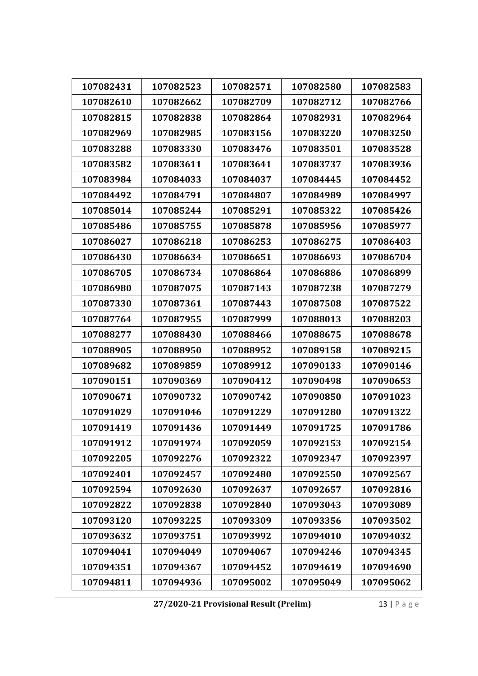| 107082431 | 107082523 | 107082571 | 107082580 | 107082583 |
|-----------|-----------|-----------|-----------|-----------|
| 107082610 | 107082662 | 107082709 | 107082712 | 107082766 |
| 107082815 | 107082838 | 107082864 | 107082931 | 107082964 |
| 107082969 | 107082985 | 107083156 | 107083220 | 107083250 |
| 107083288 | 107083330 | 107083476 | 107083501 | 107083528 |
| 107083582 | 107083611 | 107083641 | 107083737 | 107083936 |
| 107083984 | 107084033 | 107084037 | 107084445 | 107084452 |
| 107084492 | 107084791 | 107084807 | 107084989 | 107084997 |
| 107085014 | 107085244 | 107085291 | 107085322 | 107085426 |
| 107085486 | 107085755 | 107085878 | 107085956 | 107085977 |
| 107086027 | 107086218 | 107086253 | 107086275 | 107086403 |
| 107086430 | 107086634 | 107086651 | 107086693 | 107086704 |
| 107086705 | 107086734 | 107086864 | 107086886 | 107086899 |
| 107086980 | 107087075 | 107087143 | 107087238 | 107087279 |
| 107087330 | 107087361 | 107087443 | 107087508 | 107087522 |
| 107087764 | 107087955 | 107087999 | 107088013 | 107088203 |
| 107088277 | 107088430 | 107088466 | 107088675 | 107088678 |
| 107088905 | 107088950 | 107088952 | 107089158 | 107089215 |
| 107089682 | 107089859 | 107089912 | 107090133 | 107090146 |
| 107090151 | 107090369 | 107090412 | 107090498 | 107090653 |
| 107090671 | 107090732 | 107090742 | 107090850 | 107091023 |
| 107091029 | 107091046 | 107091229 | 107091280 | 107091322 |
| 107091419 | 107091436 | 107091449 | 107091725 | 107091786 |
| 107091912 | 107091974 | 107092059 | 107092153 | 107092154 |
| 107092205 | 107092276 | 107092322 | 107092347 | 107092397 |
| 107092401 | 107092457 | 107092480 | 107092550 | 107092567 |
| 107092594 | 107092630 | 107092637 | 107092657 | 107092816 |
| 107092822 | 107092838 | 107092840 | 107093043 | 107093089 |
| 107093120 | 107093225 | 107093309 | 107093356 | 107093502 |
| 107093632 | 107093751 | 107093992 | 107094010 | 107094032 |
| 107094041 | 107094049 | 107094067 | 107094246 | 107094345 |
| 107094351 | 107094367 | 107094452 | 107094619 | 107094690 |
| 107094811 | 107094936 | 107095002 | 107095049 | 107095062 |

**27/2020‐21 Provisional Result (Prelim)** 13 | Page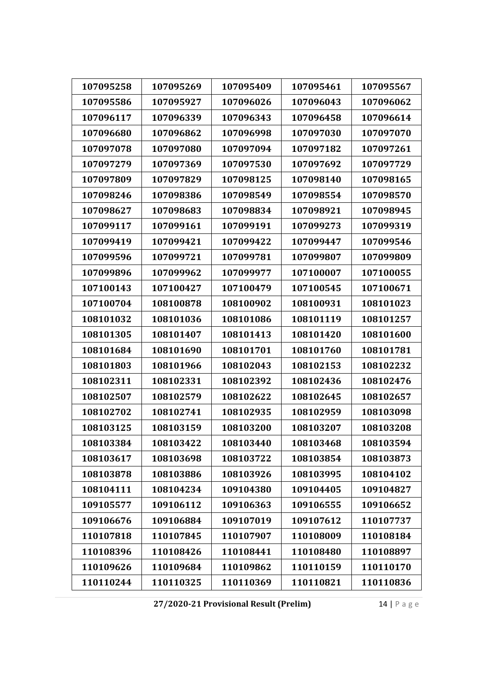| 107095258 | 107095269 | 107095409 | 107095461 | 107095567 |
|-----------|-----------|-----------|-----------|-----------|
| 107095586 | 107095927 | 107096026 | 107096043 | 107096062 |
| 107096117 | 107096339 | 107096343 | 107096458 | 107096614 |
| 107096680 | 107096862 | 107096998 | 107097030 | 107097070 |
| 107097078 | 107097080 | 107097094 | 107097182 | 107097261 |
| 107097279 | 107097369 | 107097530 | 107097692 | 107097729 |
| 107097809 | 107097829 | 107098125 | 107098140 | 107098165 |
| 107098246 | 107098386 | 107098549 | 107098554 | 107098570 |
| 107098627 | 107098683 | 107098834 | 107098921 | 107098945 |
| 107099117 | 107099161 | 107099191 | 107099273 | 107099319 |
| 107099419 | 107099421 | 107099422 | 107099447 | 107099546 |
| 107099596 | 107099721 | 107099781 | 107099807 | 107099809 |
| 107099896 | 107099962 | 107099977 | 107100007 | 107100055 |
| 107100143 | 107100427 | 107100479 | 107100545 | 107100671 |
| 107100704 | 108100878 | 108100902 | 108100931 | 108101023 |
| 108101032 | 108101036 | 108101086 | 108101119 | 108101257 |
| 108101305 | 108101407 | 108101413 | 108101420 | 108101600 |
| 108101684 | 108101690 | 108101701 | 108101760 | 108101781 |
| 108101803 | 108101966 | 108102043 | 108102153 | 108102232 |
| 108102311 | 108102331 | 108102392 | 108102436 | 108102476 |
| 108102507 | 108102579 | 108102622 | 108102645 | 108102657 |
| 108102702 | 108102741 | 108102935 | 108102959 | 108103098 |
| 108103125 | 108103159 | 108103200 | 108103207 | 108103208 |
| 108103384 | 108103422 | 108103440 | 108103468 | 108103594 |
| 108103617 | 108103698 | 108103722 | 108103854 | 108103873 |
| 108103878 | 108103886 | 108103926 | 108103995 | 108104102 |
| 108104111 | 108104234 | 109104380 | 109104405 | 109104827 |
| 109105577 | 109106112 | 109106363 | 109106555 | 109106652 |
| 109106676 | 109106884 | 109107019 | 109107612 | 110107737 |
| 110107818 | 110107845 | 110107907 | 110108009 | 110108184 |
| 110108396 | 110108426 | 110108441 | 110108480 | 110108897 |
| 110109626 | 110109684 | 110109862 | 110110159 | 110110170 |
| 110110244 | 110110325 | 110110369 | 110110821 | 110110836 |

**27/2020‐21 Provisional Result (Prelim)** 14 | Page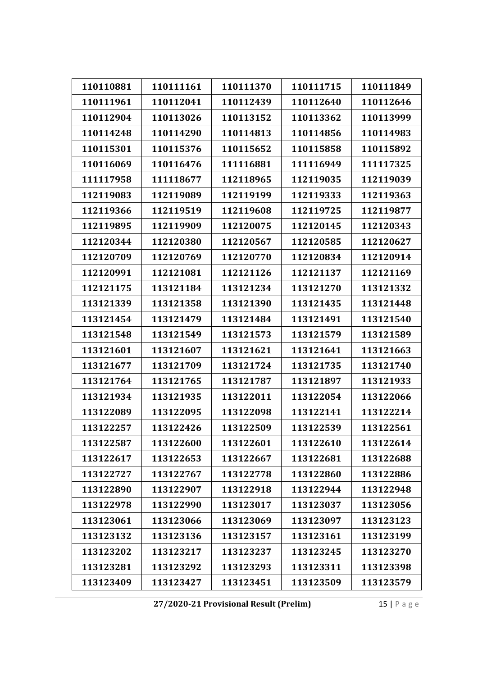| 110110881 | 110111161 | 110111370 | 110111715 | 110111849 |
|-----------|-----------|-----------|-----------|-----------|
| 110111961 | 110112041 | 110112439 | 110112640 | 110112646 |
| 110112904 | 110113026 | 110113152 | 110113362 | 110113999 |
| 110114248 | 110114290 | 110114813 | 110114856 | 110114983 |
| 110115301 | 110115376 | 110115652 | 110115858 | 110115892 |
| 110116069 | 110116476 | 111116881 | 111116949 | 111117325 |
| 111117958 | 111118677 | 112118965 | 112119035 | 112119039 |
| 112119083 | 112119089 | 112119199 | 112119333 | 112119363 |
| 112119366 | 112119519 | 112119608 | 112119725 | 112119877 |
| 112119895 | 112119909 | 112120075 | 112120145 | 112120343 |
| 112120344 | 112120380 | 112120567 | 112120585 | 112120627 |
| 112120709 | 112120769 | 112120770 | 112120834 | 112120914 |
| 112120991 | 112121081 | 112121126 | 112121137 | 112121169 |
| 112121175 | 113121184 | 113121234 | 113121270 | 113121332 |
| 113121339 | 113121358 | 113121390 | 113121435 | 113121448 |
| 113121454 | 113121479 | 113121484 | 113121491 | 113121540 |
| 113121548 | 113121549 | 113121573 | 113121579 | 113121589 |
| 113121601 | 113121607 | 113121621 | 113121641 | 113121663 |
| 113121677 | 113121709 | 113121724 | 113121735 | 113121740 |
| 113121764 | 113121765 | 113121787 | 113121897 | 113121933 |
| 113121934 | 113121935 | 113122011 | 113122054 | 113122066 |
| 113122089 | 113122095 | 113122098 | 113122141 | 113122214 |
| 113122257 | 113122426 | 113122509 | 113122539 | 113122561 |
| 113122587 | 113122600 | 113122601 | 113122610 | 113122614 |
| 113122617 | 113122653 | 113122667 | 113122681 | 113122688 |
| 113122727 | 113122767 | 113122778 | 113122860 | 113122886 |
| 113122890 | 113122907 | 113122918 | 113122944 | 113122948 |
| 113122978 | 113122990 | 113123017 | 113123037 | 113123056 |
| 113123061 | 113123066 | 113123069 | 113123097 | 113123123 |
| 113123132 | 113123136 | 113123157 | 113123161 | 113123199 |
| 113123202 | 113123217 | 113123237 | 113123245 | 113123270 |
| 113123281 | 113123292 | 113123293 | 113123311 | 113123398 |
| 113123409 | 113123427 | 113123451 | 113123509 | 113123579 |

**27/2020‐21 Provisional Result (Prelim)** 15 | Page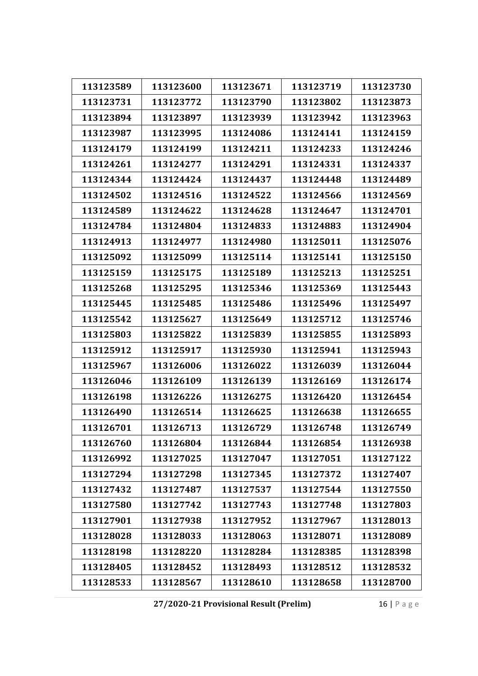| 113123589 | 113123600 | 113123671 | 113123719 | 113123730 |
|-----------|-----------|-----------|-----------|-----------|
| 113123731 | 113123772 | 113123790 | 113123802 | 113123873 |
| 113123894 | 113123897 | 113123939 | 113123942 | 113123963 |
| 113123987 | 113123995 | 113124086 | 113124141 | 113124159 |
| 113124179 | 113124199 | 113124211 | 113124233 | 113124246 |
| 113124261 | 113124277 | 113124291 | 113124331 | 113124337 |
| 113124344 | 113124424 | 113124437 | 113124448 | 113124489 |
| 113124502 | 113124516 | 113124522 | 113124566 | 113124569 |
| 113124589 | 113124622 | 113124628 | 113124647 | 113124701 |
| 113124784 | 113124804 | 113124833 | 113124883 | 113124904 |
| 113124913 | 113124977 | 113124980 | 113125011 | 113125076 |
| 113125092 | 113125099 | 113125114 | 113125141 | 113125150 |
| 113125159 | 113125175 | 113125189 | 113125213 | 113125251 |
| 113125268 | 113125295 | 113125346 | 113125369 | 113125443 |
| 113125445 | 113125485 | 113125486 | 113125496 | 113125497 |
| 113125542 | 113125627 | 113125649 | 113125712 | 113125746 |
| 113125803 | 113125822 | 113125839 | 113125855 | 113125893 |
| 113125912 | 113125917 | 113125930 | 113125941 | 113125943 |
| 113125967 | 113126006 | 113126022 | 113126039 | 113126044 |
| 113126046 | 113126109 | 113126139 | 113126169 | 113126174 |
| 113126198 | 113126226 | 113126275 | 113126420 | 113126454 |
| 113126490 | 113126514 | 113126625 | 113126638 | 113126655 |
| 113126701 | 113126713 | 113126729 | 113126748 | 113126749 |
| 113126760 | 113126804 | 113126844 | 113126854 | 113126938 |
| 113126992 | 113127025 | 113127047 | 113127051 | 113127122 |
| 113127294 | 113127298 | 113127345 | 113127372 | 113127407 |
| 113127432 | 113127487 | 113127537 | 113127544 | 113127550 |
| 113127580 | 113127742 | 113127743 | 113127748 | 113127803 |
| 113127901 | 113127938 | 113127952 | 113127967 | 113128013 |
| 113128028 | 113128033 | 113128063 | 113128071 | 113128089 |
| 113128198 | 113128220 | 113128284 | 113128385 | 113128398 |
| 113128405 | 113128452 | 113128493 | 113128512 | 113128532 |
| 113128533 | 113128567 | 113128610 | 113128658 | 113128700 |

**27/2020‐21 Provisional Result (Prelim)** 16 | Page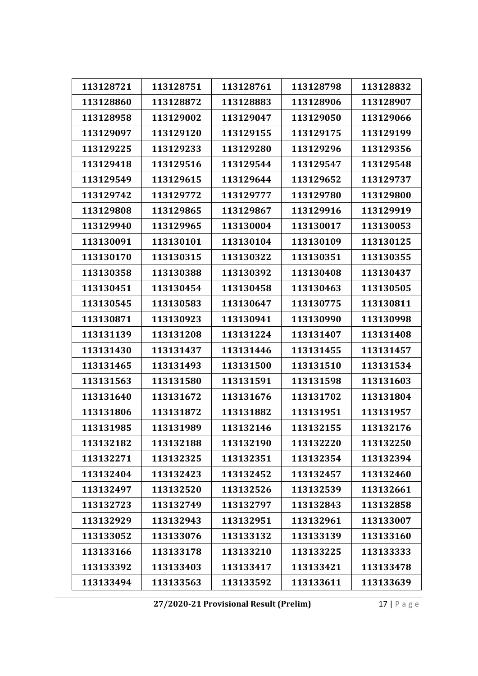| 113128721 | 113128751 | 113128761 | 113128798 | 113128832 |
|-----------|-----------|-----------|-----------|-----------|
| 113128860 | 113128872 | 113128883 | 113128906 | 113128907 |
| 113128958 | 113129002 | 113129047 | 113129050 | 113129066 |
| 113129097 | 113129120 | 113129155 | 113129175 | 113129199 |
| 113129225 | 113129233 | 113129280 | 113129296 | 113129356 |
| 113129418 | 113129516 | 113129544 | 113129547 | 113129548 |
| 113129549 | 113129615 | 113129644 | 113129652 | 113129737 |
| 113129742 | 113129772 | 113129777 | 113129780 | 113129800 |
| 113129808 | 113129865 | 113129867 | 113129916 | 113129919 |
| 113129940 | 113129965 | 113130004 | 113130017 | 113130053 |
| 113130091 | 113130101 | 113130104 | 113130109 | 113130125 |
| 113130170 | 113130315 | 113130322 | 113130351 | 113130355 |
| 113130358 | 113130388 | 113130392 | 113130408 | 113130437 |
| 113130451 | 113130454 | 113130458 | 113130463 | 113130505 |
| 113130545 | 113130583 | 113130647 | 113130775 | 113130811 |
| 113130871 | 113130923 | 113130941 | 113130990 | 113130998 |
| 113131139 | 113131208 | 113131224 | 113131407 | 113131408 |
| 113131430 | 113131437 | 113131446 | 113131455 | 113131457 |
| 113131465 | 113131493 | 113131500 | 113131510 | 113131534 |
| 113131563 | 113131580 | 113131591 | 113131598 | 113131603 |
| 113131640 | 113131672 | 113131676 | 113131702 | 113131804 |
| 113131806 | 113131872 | 113131882 | 113131951 | 113131957 |
| 113131985 | 113131989 | 113132146 | 113132155 | 113132176 |
| 113132182 | 113132188 | 113132190 | 113132220 | 113132250 |
| 113132271 | 113132325 | 113132351 | 113132354 | 113132394 |
| 113132404 | 113132423 | 113132452 | 113132457 | 113132460 |
| 113132497 | 113132520 | 113132526 | 113132539 | 113132661 |
| 113132723 | 113132749 | 113132797 | 113132843 | 113132858 |
| 113132929 | 113132943 | 113132951 | 113132961 | 113133007 |
| 113133052 | 113133076 | 113133132 | 113133139 | 113133160 |
| 113133166 | 113133178 | 113133210 | 113133225 | 113133333 |
| 113133392 | 113133403 | 113133417 | 113133421 | 113133478 |
| 113133494 | 113133563 | 113133592 | 113133611 | 113133639 |

**27/2020‐21 Provisional Result (Prelim)** 17 | Page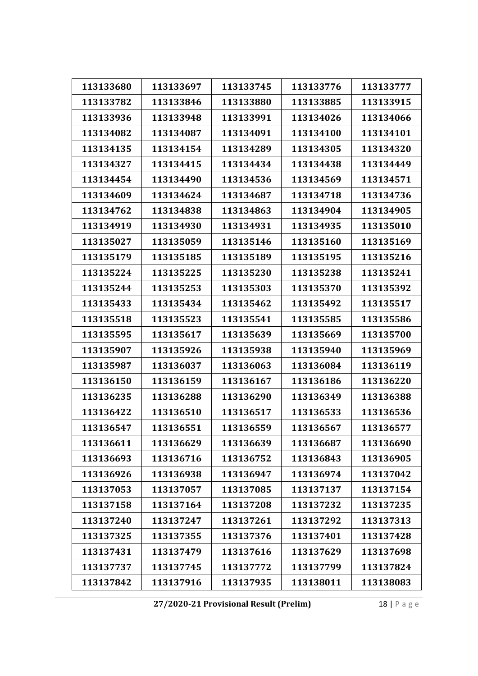| 113133680 | 113133697 | 113133745 | 113133776 | 113133777 |
|-----------|-----------|-----------|-----------|-----------|
| 113133782 | 113133846 | 113133880 | 113133885 | 113133915 |
| 113133936 | 113133948 | 113133991 | 113134026 | 113134066 |
| 113134082 | 113134087 | 113134091 | 113134100 | 113134101 |
| 113134135 | 113134154 | 113134289 | 113134305 | 113134320 |
| 113134327 | 113134415 | 113134434 | 113134438 | 113134449 |
| 113134454 | 113134490 | 113134536 | 113134569 | 113134571 |
| 113134609 | 113134624 | 113134687 | 113134718 | 113134736 |
| 113134762 | 113134838 | 113134863 | 113134904 | 113134905 |
| 113134919 | 113134930 | 113134931 | 113134935 | 113135010 |
| 113135027 | 113135059 | 113135146 | 113135160 | 113135169 |
| 113135179 | 113135185 | 113135189 | 113135195 | 113135216 |
| 113135224 | 113135225 | 113135230 | 113135238 | 113135241 |
| 113135244 | 113135253 | 113135303 | 113135370 | 113135392 |
| 113135433 | 113135434 | 113135462 | 113135492 | 113135517 |
| 113135518 | 113135523 | 113135541 | 113135585 | 113135586 |
| 113135595 | 113135617 | 113135639 | 113135669 | 113135700 |
| 113135907 | 113135926 | 113135938 | 113135940 | 113135969 |
| 113135987 | 113136037 | 113136063 | 113136084 | 113136119 |
| 113136150 | 113136159 | 113136167 | 113136186 | 113136220 |
| 113136235 | 113136288 | 113136290 | 113136349 | 113136388 |
| 113136422 | 113136510 | 113136517 | 113136533 | 113136536 |
| 113136547 | 113136551 | 113136559 | 113136567 | 113136577 |
| 113136611 | 113136629 | 113136639 | 113136687 | 113136690 |
| 113136693 | 113136716 | 113136752 | 113136843 | 113136905 |
| 113136926 | 113136938 | 113136947 | 113136974 | 113137042 |
| 113137053 | 113137057 | 113137085 | 113137137 | 113137154 |
| 113137158 | 113137164 | 113137208 | 113137232 | 113137235 |
| 113137240 | 113137247 | 113137261 | 113137292 | 113137313 |
| 113137325 | 113137355 | 113137376 | 113137401 | 113137428 |
| 113137431 | 113137479 | 113137616 | 113137629 | 113137698 |
| 113137737 | 113137745 | 113137772 | 113137799 | 113137824 |
| 113137842 | 113137916 | 113137935 | 113138011 | 113138083 |

**27/2020‐21 Provisional Result (Prelim)** 18 | Page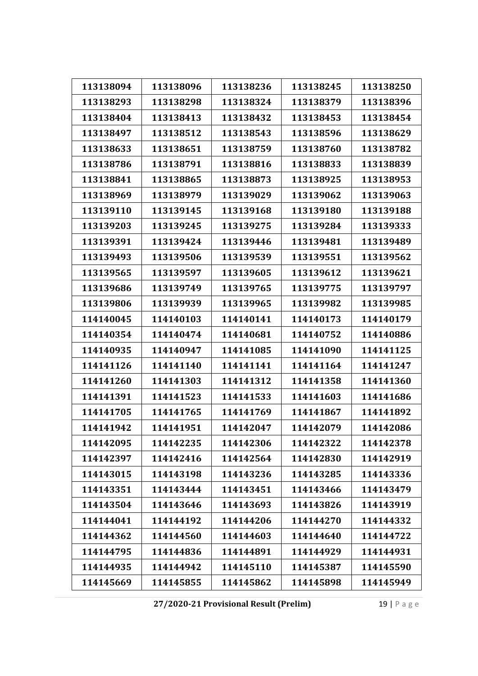| 113138094 | 113138096 | 113138236 | 113138245 | 113138250 |
|-----------|-----------|-----------|-----------|-----------|
| 113138293 | 113138298 | 113138324 | 113138379 | 113138396 |
| 113138404 | 113138413 | 113138432 | 113138453 | 113138454 |
|           |           |           |           |           |
| 113138497 | 113138512 | 113138543 | 113138596 | 113138629 |
| 113138633 | 113138651 | 113138759 | 113138760 | 113138782 |
| 113138786 | 113138791 | 113138816 | 113138833 | 113138839 |
| 113138841 | 113138865 | 113138873 | 113138925 | 113138953 |
| 113138969 | 113138979 | 113139029 | 113139062 | 113139063 |
| 113139110 | 113139145 | 113139168 | 113139180 | 113139188 |
| 113139203 | 113139245 | 113139275 | 113139284 | 113139333 |
| 113139391 | 113139424 | 113139446 | 113139481 | 113139489 |
| 113139493 | 113139506 | 113139539 | 113139551 | 113139562 |
| 113139565 | 113139597 | 113139605 | 113139612 | 113139621 |
| 113139686 | 113139749 | 113139765 | 113139775 | 113139797 |
| 113139806 | 113139939 | 113139965 | 113139982 | 113139985 |
| 114140045 | 114140103 | 114140141 | 114140173 | 114140179 |
| 114140354 | 114140474 | 114140681 | 114140752 | 114140886 |
| 114140935 | 114140947 | 114141085 | 114141090 | 114141125 |
| 114141126 | 114141140 | 114141141 | 114141164 | 114141247 |
| 114141260 | 114141303 | 114141312 | 114141358 | 114141360 |
| 114141391 | 114141523 | 114141533 | 114141603 | 114141686 |
| 114141705 | 114141765 | 114141769 | 114141867 | 114141892 |
| 114141942 | 114141951 | 114142047 | 114142079 | 114142086 |
| 114142095 | 114142235 | 114142306 | 114142322 | 114142378 |
| 114142397 | 114142416 | 114142564 | 114142830 | 114142919 |
| 114143015 | 114143198 | 114143236 | 114143285 | 114143336 |
| 114143351 | 114143444 | 114143451 | 114143466 | 114143479 |
| 114143504 | 114143646 | 114143693 | 114143826 | 114143919 |
| 114144041 | 114144192 | 114144206 | 114144270 | 114144332 |
| 114144362 | 114144560 | 114144603 | 114144640 | 114144722 |
| 114144795 | 114144836 | 114144891 | 114144929 | 114144931 |
| 114144935 | 114144942 | 114145110 | 114145387 | 114145590 |
| 114145669 | 114145855 | 114145862 | 114145898 | 114145949 |

**27/2020‐21 Provisional Result (Prelim)** 19 | Page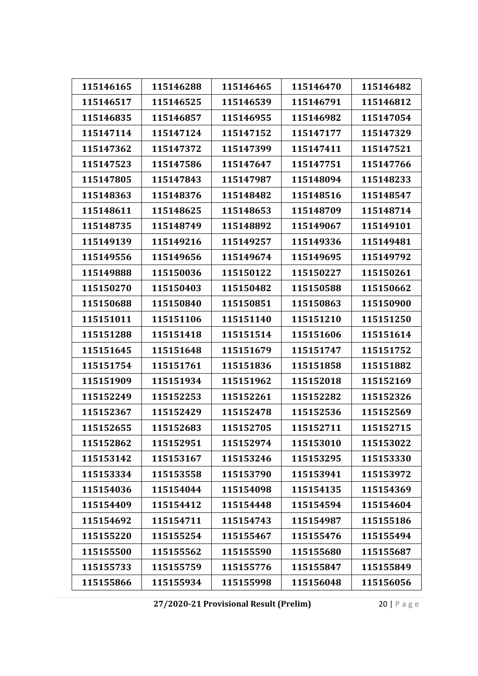| 115146165<br>115146288<br>115146465<br>115146470<br>115146482<br>115146517<br>115146525<br>115146539<br>115146791<br>115146812<br>115146835<br>115146857<br>115146955<br>115146982<br>115147054<br>115147114<br>115147124<br>115147152<br>115147177<br>115147329<br>115147362<br>115147372<br>115147399<br>115147411<br>115147521<br>115147523<br>115147586<br>115147647<br>115147751<br>115147766<br>115148233<br>115147805<br>115147843<br>115147987<br>115148094<br>115148363<br>115148376<br>115148482<br>115148516<br>115148547<br>115148611<br>115148625<br>115148653<br>115148709<br>115148714<br>115148735<br>115148749<br>115148892<br>115149067<br>115149101<br>115149139<br>115149216<br>115149257<br>115149336<br>115149481<br>115149556<br>115149656<br>115149674<br>115149695<br>115149792<br>115149888<br>115150036<br>115150122<br>115150227<br>115150261<br>115150270<br>115150403<br>115150482<br>115150588<br>115150662<br>115150688<br>115150840<br>115150851<br>115150863<br>115150900<br>115151011<br>115151106<br>115151140<br>115151210<br>115151250<br>115151418<br>115151514<br>115151606<br>115151614<br>115151288<br>115151645<br>115151648<br>115151679<br>115151747<br>115151752<br>115151754<br>115151761<br>115151836<br>115151858<br>115151882<br>115151909<br>115151934<br>115151962<br>115152018<br>115152169<br>115152249<br>115152253<br>115152261<br>115152282<br>115152326<br>115152536<br>115152367<br>115152429<br>115152478<br>115152569<br>115152655<br>115152705<br>115152711<br>115152683<br>115152715<br>115152862<br>115152951<br>115152974<br>115153010<br>115153022<br>115153295<br>115153142<br>115153167<br>115153246<br>115153330<br>115153334<br>115153558<br>115153790<br>115153941<br>115153972<br>115154036<br>115154044<br>115154098<br>115154135<br>115154369<br>115154409<br>115154412<br>115154448<br>115154594<br>115154604<br>115154692<br>115154711<br>115154743<br>115154987<br>115155186<br>115155220<br>115155254<br>115155467<br>115155476<br>115155494<br>115155500<br>115155562<br>115155590<br>115155680<br>115155687<br>115155733<br>115155759<br>115155776<br>115155847<br>115155849 |           |           |           |           |           |
|--------------------------------------------------------------------------------------------------------------------------------------------------------------------------------------------------------------------------------------------------------------------------------------------------------------------------------------------------------------------------------------------------------------------------------------------------------------------------------------------------------------------------------------------------------------------------------------------------------------------------------------------------------------------------------------------------------------------------------------------------------------------------------------------------------------------------------------------------------------------------------------------------------------------------------------------------------------------------------------------------------------------------------------------------------------------------------------------------------------------------------------------------------------------------------------------------------------------------------------------------------------------------------------------------------------------------------------------------------------------------------------------------------------------------------------------------------------------------------------------------------------------------------------------------------------------------------------------------------------------------------------------------------------------------------------------------------------------------------------------------------------------------------------------------------------------------------------------------------------------------------------------------------------------------------------------------------------------------------------------------------------------------------------------------------------------------------------------------------------------------------------------------------------|-----------|-----------|-----------|-----------|-----------|
|                                                                                                                                                                                                                                                                                                                                                                                                                                                                                                                                                                                                                                                                                                                                                                                                                                                                                                                                                                                                                                                                                                                                                                                                                                                                                                                                                                                                                                                                                                                                                                                                                                                                                                                                                                                                                                                                                                                                                                                                                                                                                                                                                              |           |           |           |           |           |
|                                                                                                                                                                                                                                                                                                                                                                                                                                                                                                                                                                                                                                                                                                                                                                                                                                                                                                                                                                                                                                                                                                                                                                                                                                                                                                                                                                                                                                                                                                                                                                                                                                                                                                                                                                                                                                                                                                                                                                                                                                                                                                                                                              |           |           |           |           |           |
|                                                                                                                                                                                                                                                                                                                                                                                                                                                                                                                                                                                                                                                                                                                                                                                                                                                                                                                                                                                                                                                                                                                                                                                                                                                                                                                                                                                                                                                                                                                                                                                                                                                                                                                                                                                                                                                                                                                                                                                                                                                                                                                                                              |           |           |           |           |           |
|                                                                                                                                                                                                                                                                                                                                                                                                                                                                                                                                                                                                                                                                                                                                                                                                                                                                                                                                                                                                                                                                                                                                                                                                                                                                                                                                                                                                                                                                                                                                                                                                                                                                                                                                                                                                                                                                                                                                                                                                                                                                                                                                                              |           |           |           |           |           |
|                                                                                                                                                                                                                                                                                                                                                                                                                                                                                                                                                                                                                                                                                                                                                                                                                                                                                                                                                                                                                                                                                                                                                                                                                                                                                                                                                                                                                                                                                                                                                                                                                                                                                                                                                                                                                                                                                                                                                                                                                                                                                                                                                              |           |           |           |           |           |
|                                                                                                                                                                                                                                                                                                                                                                                                                                                                                                                                                                                                                                                                                                                                                                                                                                                                                                                                                                                                                                                                                                                                                                                                                                                                                                                                                                                                                                                                                                                                                                                                                                                                                                                                                                                                                                                                                                                                                                                                                                                                                                                                                              |           |           |           |           |           |
|                                                                                                                                                                                                                                                                                                                                                                                                                                                                                                                                                                                                                                                                                                                                                                                                                                                                                                                                                                                                                                                                                                                                                                                                                                                                                                                                                                                                                                                                                                                                                                                                                                                                                                                                                                                                                                                                                                                                                                                                                                                                                                                                                              |           |           |           |           |           |
|                                                                                                                                                                                                                                                                                                                                                                                                                                                                                                                                                                                                                                                                                                                                                                                                                                                                                                                                                                                                                                                                                                                                                                                                                                                                                                                                                                                                                                                                                                                                                                                                                                                                                                                                                                                                                                                                                                                                                                                                                                                                                                                                                              |           |           |           |           |           |
|                                                                                                                                                                                                                                                                                                                                                                                                                                                                                                                                                                                                                                                                                                                                                                                                                                                                                                                                                                                                                                                                                                                                                                                                                                                                                                                                                                                                                                                                                                                                                                                                                                                                                                                                                                                                                                                                                                                                                                                                                                                                                                                                                              |           |           |           |           |           |
|                                                                                                                                                                                                                                                                                                                                                                                                                                                                                                                                                                                                                                                                                                                                                                                                                                                                                                                                                                                                                                                                                                                                                                                                                                                                                                                                                                                                                                                                                                                                                                                                                                                                                                                                                                                                                                                                                                                                                                                                                                                                                                                                                              |           |           |           |           |           |
|                                                                                                                                                                                                                                                                                                                                                                                                                                                                                                                                                                                                                                                                                                                                                                                                                                                                                                                                                                                                                                                                                                                                                                                                                                                                                                                                                                                                                                                                                                                                                                                                                                                                                                                                                                                                                                                                                                                                                                                                                                                                                                                                                              |           |           |           |           |           |
|                                                                                                                                                                                                                                                                                                                                                                                                                                                                                                                                                                                                                                                                                                                                                                                                                                                                                                                                                                                                                                                                                                                                                                                                                                                                                                                                                                                                                                                                                                                                                                                                                                                                                                                                                                                                                                                                                                                                                                                                                                                                                                                                                              |           |           |           |           |           |
|                                                                                                                                                                                                                                                                                                                                                                                                                                                                                                                                                                                                                                                                                                                                                                                                                                                                                                                                                                                                                                                                                                                                                                                                                                                                                                                                                                                                                                                                                                                                                                                                                                                                                                                                                                                                                                                                                                                                                                                                                                                                                                                                                              |           |           |           |           |           |
|                                                                                                                                                                                                                                                                                                                                                                                                                                                                                                                                                                                                                                                                                                                                                                                                                                                                                                                                                                                                                                                                                                                                                                                                                                                                                                                                                                                                                                                                                                                                                                                                                                                                                                                                                                                                                                                                                                                                                                                                                                                                                                                                                              |           |           |           |           |           |
|                                                                                                                                                                                                                                                                                                                                                                                                                                                                                                                                                                                                                                                                                                                                                                                                                                                                                                                                                                                                                                                                                                                                                                                                                                                                                                                                                                                                                                                                                                                                                                                                                                                                                                                                                                                                                                                                                                                                                                                                                                                                                                                                                              |           |           |           |           |           |
|                                                                                                                                                                                                                                                                                                                                                                                                                                                                                                                                                                                                                                                                                                                                                                                                                                                                                                                                                                                                                                                                                                                                                                                                                                                                                                                                                                                                                                                                                                                                                                                                                                                                                                                                                                                                                                                                                                                                                                                                                                                                                                                                                              |           |           |           |           |           |
|                                                                                                                                                                                                                                                                                                                                                                                                                                                                                                                                                                                                                                                                                                                                                                                                                                                                                                                                                                                                                                                                                                                                                                                                                                                                                                                                                                                                                                                                                                                                                                                                                                                                                                                                                                                                                                                                                                                                                                                                                                                                                                                                                              |           |           |           |           |           |
|                                                                                                                                                                                                                                                                                                                                                                                                                                                                                                                                                                                                                                                                                                                                                                                                                                                                                                                                                                                                                                                                                                                                                                                                                                                                                                                                                                                                                                                                                                                                                                                                                                                                                                                                                                                                                                                                                                                                                                                                                                                                                                                                                              |           |           |           |           |           |
|                                                                                                                                                                                                                                                                                                                                                                                                                                                                                                                                                                                                                                                                                                                                                                                                                                                                                                                                                                                                                                                                                                                                                                                                                                                                                                                                                                                                                                                                                                                                                                                                                                                                                                                                                                                                                                                                                                                                                                                                                                                                                                                                                              |           |           |           |           |           |
|                                                                                                                                                                                                                                                                                                                                                                                                                                                                                                                                                                                                                                                                                                                                                                                                                                                                                                                                                                                                                                                                                                                                                                                                                                                                                                                                                                                                                                                                                                                                                                                                                                                                                                                                                                                                                                                                                                                                                                                                                                                                                                                                                              |           |           |           |           |           |
|                                                                                                                                                                                                                                                                                                                                                                                                                                                                                                                                                                                                                                                                                                                                                                                                                                                                                                                                                                                                                                                                                                                                                                                                                                                                                                                                                                                                                                                                                                                                                                                                                                                                                                                                                                                                                                                                                                                                                                                                                                                                                                                                                              |           |           |           |           |           |
|                                                                                                                                                                                                                                                                                                                                                                                                                                                                                                                                                                                                                                                                                                                                                                                                                                                                                                                                                                                                                                                                                                                                                                                                                                                                                                                                                                                                                                                                                                                                                                                                                                                                                                                                                                                                                                                                                                                                                                                                                                                                                                                                                              |           |           |           |           |           |
|                                                                                                                                                                                                                                                                                                                                                                                                                                                                                                                                                                                                                                                                                                                                                                                                                                                                                                                                                                                                                                                                                                                                                                                                                                                                                                                                                                                                                                                                                                                                                                                                                                                                                                                                                                                                                                                                                                                                                                                                                                                                                                                                                              |           |           |           |           |           |
|                                                                                                                                                                                                                                                                                                                                                                                                                                                                                                                                                                                                                                                                                                                                                                                                                                                                                                                                                                                                                                                                                                                                                                                                                                                                                                                                                                                                                                                                                                                                                                                                                                                                                                                                                                                                                                                                                                                                                                                                                                                                                                                                                              |           |           |           |           |           |
|                                                                                                                                                                                                                                                                                                                                                                                                                                                                                                                                                                                                                                                                                                                                                                                                                                                                                                                                                                                                                                                                                                                                                                                                                                                                                                                                                                                                                                                                                                                                                                                                                                                                                                                                                                                                                                                                                                                                                                                                                                                                                                                                                              |           |           |           |           |           |
|                                                                                                                                                                                                                                                                                                                                                                                                                                                                                                                                                                                                                                                                                                                                                                                                                                                                                                                                                                                                                                                                                                                                                                                                                                                                                                                                                                                                                                                                                                                                                                                                                                                                                                                                                                                                                                                                                                                                                                                                                                                                                                                                                              |           |           |           |           |           |
|                                                                                                                                                                                                                                                                                                                                                                                                                                                                                                                                                                                                                                                                                                                                                                                                                                                                                                                                                                                                                                                                                                                                                                                                                                                                                                                                                                                                                                                                                                                                                                                                                                                                                                                                                                                                                                                                                                                                                                                                                                                                                                                                                              |           |           |           |           |           |
|                                                                                                                                                                                                                                                                                                                                                                                                                                                                                                                                                                                                                                                                                                                                                                                                                                                                                                                                                                                                                                                                                                                                                                                                                                                                                                                                                                                                                                                                                                                                                                                                                                                                                                                                                                                                                                                                                                                                                                                                                                                                                                                                                              |           |           |           |           |           |
|                                                                                                                                                                                                                                                                                                                                                                                                                                                                                                                                                                                                                                                                                                                                                                                                                                                                                                                                                                                                                                                                                                                                                                                                                                                                                                                                                                                                                                                                                                                                                                                                                                                                                                                                                                                                                                                                                                                                                                                                                                                                                                                                                              |           |           |           |           |           |
|                                                                                                                                                                                                                                                                                                                                                                                                                                                                                                                                                                                                                                                                                                                                                                                                                                                                                                                                                                                                                                                                                                                                                                                                                                                                                                                                                                                                                                                                                                                                                                                                                                                                                                                                                                                                                                                                                                                                                                                                                                                                                                                                                              |           |           |           |           |           |
|                                                                                                                                                                                                                                                                                                                                                                                                                                                                                                                                                                                                                                                                                                                                                                                                                                                                                                                                                                                                                                                                                                                                                                                                                                                                                                                                                                                                                                                                                                                                                                                                                                                                                                                                                                                                                                                                                                                                                                                                                                                                                                                                                              |           |           |           |           |           |
|                                                                                                                                                                                                                                                                                                                                                                                                                                                                                                                                                                                                                                                                                                                                                                                                                                                                                                                                                                                                                                                                                                                                                                                                                                                                                                                                                                                                                                                                                                                                                                                                                                                                                                                                                                                                                                                                                                                                                                                                                                                                                                                                                              |           |           |           |           |           |
|                                                                                                                                                                                                                                                                                                                                                                                                                                                                                                                                                                                                                                                                                                                                                                                                                                                                                                                                                                                                                                                                                                                                                                                                                                                                                                                                                                                                                                                                                                                                                                                                                                                                                                                                                                                                                                                                                                                                                                                                                                                                                                                                                              | 115155866 | 115155934 | 115155998 | 115156048 | 115156056 |

**27/2020‐21 Provisional Result (Prelim)** 20 | Page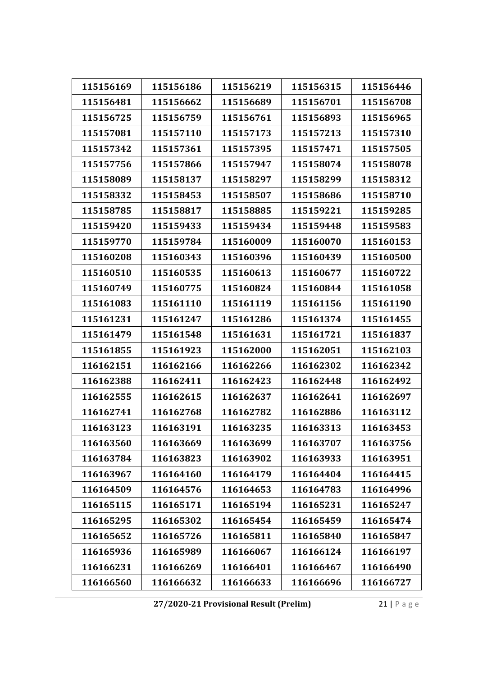| 115156169 | 115156186 | 115156219 | 115156315 | 115156446 |
|-----------|-----------|-----------|-----------|-----------|
| 115156481 | 115156662 | 115156689 | 115156701 | 115156708 |
| 115156725 | 115156759 | 115156761 | 115156893 | 115156965 |
| 115157081 | 115157110 | 115157173 | 115157213 | 115157310 |
| 115157342 | 115157361 | 115157395 | 115157471 | 115157505 |
| 115157756 | 115157866 | 115157947 | 115158074 | 115158078 |
| 115158089 | 115158137 | 115158297 | 115158299 | 115158312 |
| 115158332 | 115158453 | 115158507 | 115158686 | 115158710 |
| 115158785 | 115158817 | 115158885 | 115159221 | 115159285 |
| 115159420 | 115159433 | 115159434 | 115159448 | 115159583 |
| 115159770 | 115159784 | 115160009 | 115160070 | 115160153 |
| 115160208 | 115160343 | 115160396 | 115160439 | 115160500 |
| 115160510 | 115160535 | 115160613 | 115160677 | 115160722 |
| 115160749 | 115160775 | 115160824 | 115160844 | 115161058 |
| 115161083 | 115161110 | 115161119 | 115161156 | 115161190 |
| 115161231 | 115161247 | 115161286 | 115161374 | 115161455 |
| 115161479 | 115161548 | 115161631 | 115161721 | 115161837 |
| 115161855 | 115161923 | 115162000 | 115162051 | 115162103 |
| 116162151 | 116162166 | 116162266 | 116162302 | 116162342 |
| 116162388 | 116162411 | 116162423 | 116162448 | 116162492 |
| 116162555 | 116162615 | 116162637 | 116162641 | 116162697 |
| 116162741 | 116162768 | 116162782 | 116162886 | 116163112 |
| 116163123 | 116163191 | 116163235 | 116163313 | 116163453 |
| 116163560 | 116163669 | 116163699 | 116163707 | 116163756 |
| 116163784 | 116163823 | 116163902 | 116163933 | 116163951 |
| 116163967 | 116164160 | 116164179 | 116164404 | 116164415 |
| 116164509 | 116164576 | 116164653 | 116164783 | 116164996 |
| 116165115 | 116165171 | 116165194 | 116165231 | 116165247 |
| 116165295 | 116165302 | 116165454 | 116165459 | 116165474 |
| 116165652 | 116165726 | 116165811 | 116165840 | 116165847 |
| 116165936 | 116165989 | 116166067 | 116166124 | 116166197 |
| 116166231 | 116166269 | 116166401 | 116166467 | 116166490 |
| 116166560 | 116166632 | 116166633 | 116166696 | 116166727 |

**27/2020‐21 Provisional Result (Prelim)** 21 | Page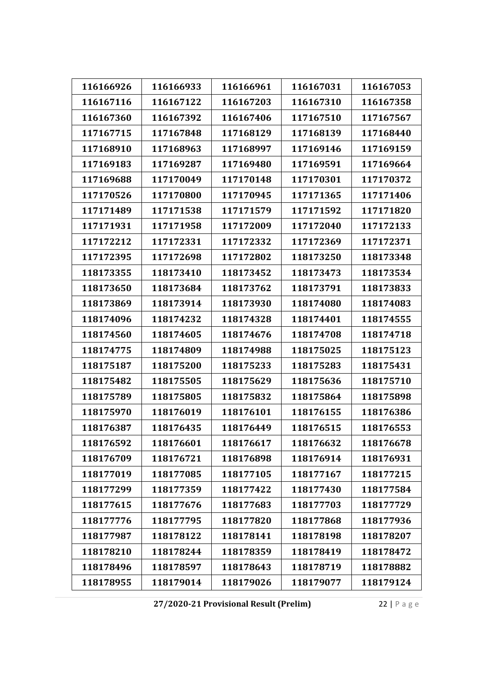| 116166926 | 116166933 | 116166961 | 116167031 | 116167053 |
|-----------|-----------|-----------|-----------|-----------|
| 116167116 | 116167122 | 116167203 | 116167310 | 116167358 |
| 116167360 | 116167392 | 116167406 | 117167510 | 117167567 |
| 117167715 | 117167848 | 117168129 | 117168139 | 117168440 |
| 117168910 | 117168963 | 117168997 | 117169146 | 117169159 |
| 117169183 | 117169287 | 117169480 | 117169591 | 117169664 |
| 117169688 | 117170049 | 117170148 | 117170301 | 117170372 |
| 117170526 | 117170800 | 117170945 | 117171365 | 117171406 |
| 117171489 | 117171538 | 117171579 | 117171592 | 117171820 |
| 117171931 | 117171958 | 117172009 | 117172040 | 117172133 |
| 117172212 | 117172331 | 117172332 | 117172369 | 117172371 |
| 117172395 | 117172698 | 117172802 | 118173250 | 118173348 |
| 118173355 | 118173410 | 118173452 | 118173473 | 118173534 |
| 118173650 | 118173684 | 118173762 | 118173791 | 118173833 |
| 118173869 | 118173914 | 118173930 | 118174080 | 118174083 |
| 118174096 | 118174232 | 118174328 | 118174401 | 118174555 |
| 118174560 | 118174605 | 118174676 | 118174708 | 118174718 |
| 118174775 | 118174809 | 118174988 | 118175025 | 118175123 |
| 118175187 | 118175200 | 118175233 | 118175283 | 118175431 |
| 118175482 | 118175505 | 118175629 | 118175636 | 118175710 |
| 118175789 | 118175805 | 118175832 | 118175864 | 118175898 |
| 118175970 | 118176019 | 118176101 | 118176155 | 118176386 |
| 118176387 | 118176435 | 118176449 | 118176515 | 118176553 |
| 118176592 | 118176601 | 118176617 | 118176632 | 118176678 |
| 118176709 | 118176721 | 118176898 | 118176914 | 118176931 |
| 118177019 | 118177085 | 118177105 | 118177167 | 118177215 |
| 118177299 | 118177359 | 118177422 | 118177430 | 118177584 |
| 118177615 | 118177676 | 118177683 | 118177703 | 118177729 |
| 118177776 | 118177795 | 118177820 | 118177868 | 118177936 |
| 118177987 | 118178122 | 118178141 | 118178198 | 118178207 |
| 118178210 | 118178244 | 118178359 | 118178419 | 118178472 |
| 118178496 | 118178597 | 118178643 | 118178719 | 118178882 |
| 118178955 | 118179014 | 118179026 | 118179077 | 118179124 |

**27/2020‐21 Provisional Result (Prelim)** 22 | Page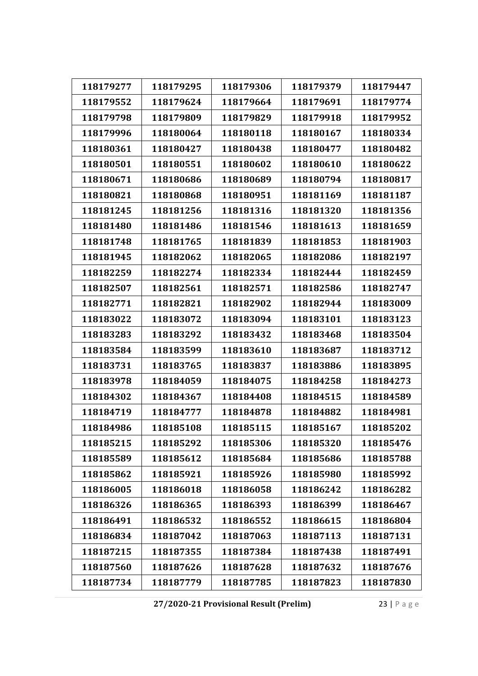| 118179277 | 118179295 | 118179306 | 118179379 | 118179447 |
|-----------|-----------|-----------|-----------|-----------|
| 118179552 | 118179624 | 118179664 | 118179691 | 118179774 |
| 118179798 | 118179809 | 118179829 | 118179918 | 118179952 |
| 118179996 | 118180064 | 118180118 | 118180167 | 118180334 |
| 118180361 | 118180427 | 118180438 | 118180477 | 118180482 |
| 118180501 | 118180551 | 118180602 | 118180610 | 118180622 |
| 118180671 | 118180686 | 118180689 | 118180794 | 118180817 |
| 118180821 | 118180868 | 118180951 | 118181169 | 118181187 |
| 118181245 | 118181256 | 118181316 | 118181320 | 118181356 |
| 118181480 | 118181486 | 118181546 | 118181613 | 118181659 |
| 118181748 | 118181765 | 118181839 | 118181853 | 118181903 |
| 118181945 | 118182062 | 118182065 | 118182086 | 118182197 |
| 118182259 | 118182274 | 118182334 | 118182444 | 118182459 |
| 118182507 | 118182561 | 118182571 | 118182586 | 118182747 |
| 118182771 | 118182821 | 118182902 | 118182944 | 118183009 |
| 118183022 | 118183072 | 118183094 | 118183101 | 118183123 |
| 118183283 | 118183292 | 118183432 | 118183468 | 118183504 |
| 118183584 | 118183599 | 118183610 | 118183687 | 118183712 |
| 118183731 | 118183765 | 118183837 | 118183886 | 118183895 |
| 118183978 | 118184059 | 118184075 | 118184258 | 118184273 |
| 118184302 | 118184367 | 118184408 | 118184515 | 118184589 |
| 118184719 | 118184777 | 118184878 | 118184882 | 118184981 |
| 118184986 | 118185108 | 118185115 | 118185167 | 118185202 |
| 118185215 | 118185292 | 118185306 | 118185320 | 118185476 |
| 118185589 | 118185612 | 118185684 | 118185686 | 118185788 |
| 118185862 | 118185921 | 118185926 | 118185980 | 118185992 |
| 118186005 | 118186018 | 118186058 | 118186242 | 118186282 |
| 118186326 | 118186365 | 118186393 | 118186399 | 118186467 |
| 118186491 | 118186532 | 118186552 | 118186615 | 118186804 |
| 118186834 | 118187042 | 118187063 | 118187113 | 118187131 |
| 118187215 | 118187355 | 118187384 | 118187438 | 118187491 |
| 118187560 | 118187626 | 118187628 | 118187632 | 118187676 |
| 118187734 | 118187779 | 118187785 | 118187823 | 118187830 |

**27/2020‐21 Provisional Result (Prelim)** 23 | Page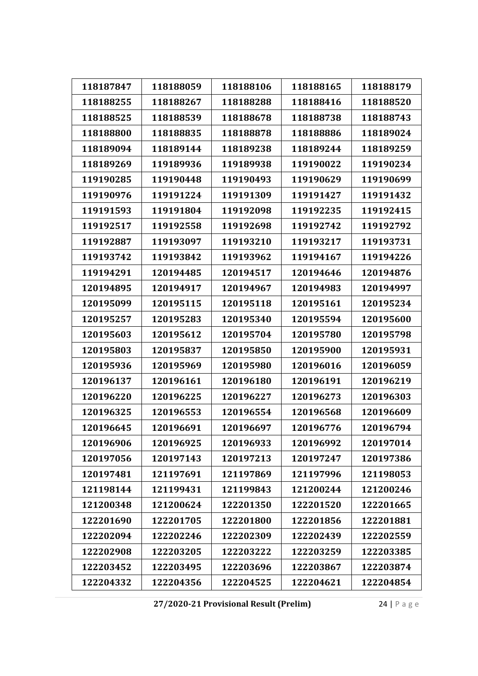| 118187847 | 118188059 | 118188106 | 118188165 | 118188179 |
|-----------|-----------|-----------|-----------|-----------|
| 118188255 | 118188267 | 118188288 | 118188416 | 118188520 |
| 118188525 | 118188539 | 118188678 | 118188738 | 118188743 |
| 118188800 | 118188835 | 118188878 | 118188886 | 118189024 |
|           |           |           |           |           |
| 118189094 | 118189144 | 118189238 | 118189244 | 118189259 |
| 118189269 | 119189936 | 119189938 | 119190022 | 119190234 |
| 119190285 | 119190448 | 119190493 | 119190629 | 119190699 |
| 119190976 | 119191224 | 119191309 | 119191427 | 119191432 |
| 119191593 | 119191804 | 119192098 | 119192235 | 119192415 |
| 119192517 | 119192558 | 119192698 | 119192742 | 119192792 |
| 119192887 | 119193097 | 119193210 | 119193217 | 119193731 |
| 119193742 | 119193842 | 119193962 | 119194167 | 119194226 |
| 119194291 | 120194485 | 120194517 | 120194646 | 120194876 |
| 120194895 | 120194917 | 120194967 | 120194983 | 120194997 |
| 120195099 | 120195115 | 120195118 | 120195161 | 120195234 |
| 120195257 | 120195283 | 120195340 | 120195594 | 120195600 |
| 120195603 | 120195612 | 120195704 | 120195780 | 120195798 |
| 120195803 | 120195837 | 120195850 | 120195900 | 120195931 |
| 120195936 | 120195969 | 120195980 | 120196016 | 120196059 |
| 120196137 | 120196161 | 120196180 | 120196191 | 120196219 |
| 120196220 | 120196225 | 120196227 | 120196273 | 120196303 |
| 120196325 | 120196553 | 120196554 | 120196568 | 120196609 |
| 120196645 | 120196691 | 120196697 | 120196776 | 120196794 |
| 120196906 | 120196925 | 120196933 | 120196992 | 120197014 |
| 120197056 | 120197143 | 120197213 | 120197247 | 120197386 |
| 120197481 | 121197691 | 121197869 | 121197996 | 121198053 |
| 121198144 | 121199431 | 121199843 | 121200244 | 121200246 |
| 121200348 | 121200624 | 122201350 | 122201520 | 122201665 |
| 122201690 | 122201705 | 122201800 | 122201856 | 122201881 |
| 122202094 | 122202246 | 122202309 | 122202439 | 122202559 |
| 122202908 | 122203205 | 122203222 | 122203259 | 122203385 |
| 122203452 | 122203495 | 122203696 | 122203867 | 122203874 |
| 122204332 | 122204356 | 122204525 | 122204621 | 122204854 |

**27/2020‐21 Provisional Result (Prelim)** 24 | Page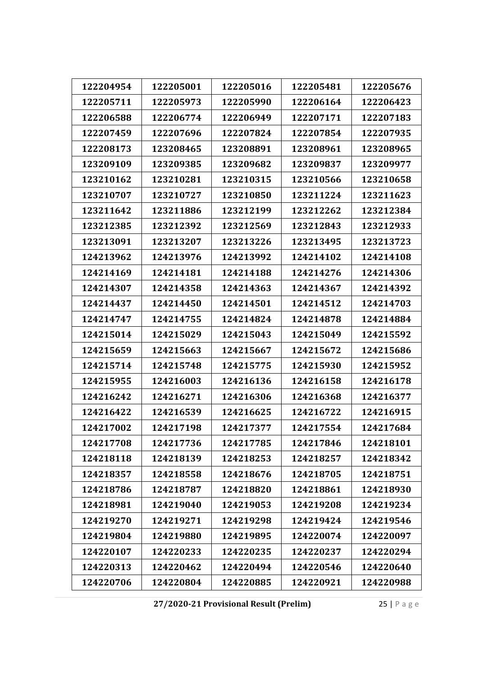| 122204954 | 122205001 | 122205016 | 122205481 | 122205676 |
|-----------|-----------|-----------|-----------|-----------|
| 122205711 | 122205973 | 122205990 | 122206164 | 122206423 |
| 122206588 | 122206774 | 122206949 | 122207171 | 122207183 |
| 122207459 | 122207696 | 122207824 | 122207854 | 122207935 |
| 122208173 | 123208465 | 123208891 | 123208961 | 123208965 |
| 123209109 | 123209385 | 123209682 | 123209837 | 123209977 |
| 123210162 | 123210281 | 123210315 | 123210566 | 123210658 |
| 123210707 | 123210727 | 123210850 | 123211224 | 123211623 |
| 123211642 | 123211886 | 123212199 | 123212262 | 123212384 |
| 123212385 | 123212392 | 123212569 | 123212843 | 123212933 |
| 123213091 | 123213207 | 123213226 | 123213495 | 123213723 |
| 124213962 | 124213976 | 124213992 | 124214102 | 124214108 |
| 124214169 | 124214181 | 124214188 | 124214276 | 124214306 |
| 124214307 | 124214358 | 124214363 | 124214367 | 124214392 |
| 124214437 | 124214450 | 124214501 | 124214512 | 124214703 |
| 124214747 | 124214755 | 124214824 | 124214878 | 124214884 |
| 124215014 | 124215029 | 124215043 | 124215049 | 124215592 |
| 124215659 | 124215663 | 124215667 | 124215672 | 124215686 |
| 124215714 | 124215748 | 124215775 | 124215930 | 124215952 |
| 124215955 | 124216003 | 124216136 | 124216158 | 124216178 |
| 124216242 | 124216271 | 124216306 | 124216368 | 124216377 |
| 124216422 | 124216539 | 124216625 | 124216722 | 124216915 |
| 124217002 | 124217198 | 124217377 | 124217554 | 124217684 |
| 124217708 | 124217736 | 124217785 | 124217846 | 124218101 |
| 124218118 | 124218139 | 124218253 | 124218257 | 124218342 |
| 124218357 | 124218558 | 124218676 | 124218705 | 124218751 |
| 124218786 | 124218787 | 124218820 | 124218861 | 124218930 |
| 124218981 | 124219040 | 124219053 | 124219208 | 124219234 |
| 124219270 | 124219271 | 124219298 | 124219424 | 124219546 |
| 124219804 | 124219880 | 124219895 | 124220074 | 124220097 |
| 124220107 | 124220233 | 124220235 | 124220237 | 124220294 |
| 124220313 | 124220462 | 124220494 | 124220546 | 124220640 |
| 124220706 | 124220804 | 124220885 | 124220921 | 124220988 |

**27/2020‐21 Provisional Result (Prelim)** 25 | Page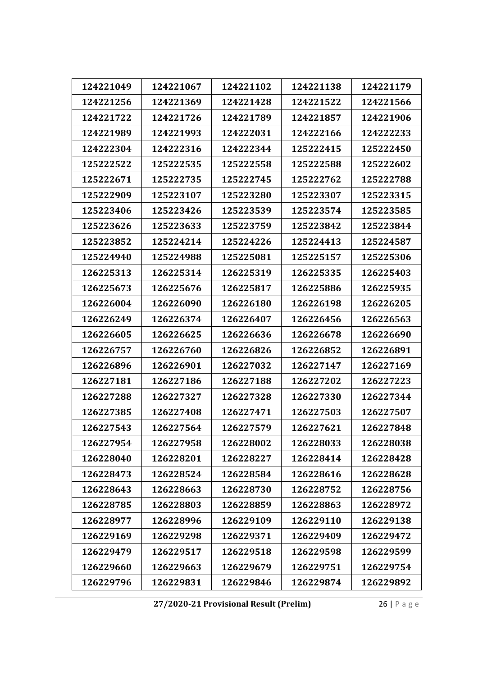| 124221049 | 124221067 | 124221102 | 124221138 | 124221179 |
|-----------|-----------|-----------|-----------|-----------|
| 124221256 | 124221369 | 124221428 | 124221522 | 124221566 |
| 124221722 | 124221726 | 124221789 | 124221857 | 124221906 |
| 124221989 | 124221993 | 124222031 | 124222166 | 124222233 |
| 124222304 | 124222316 | 124222344 | 125222415 | 125222450 |
| 125222522 | 125222535 | 125222558 | 125222588 | 125222602 |
| 125222671 | 125222735 | 125222745 | 125222762 | 125222788 |
| 125222909 | 125223107 | 125223280 | 125223307 | 125223315 |
| 125223406 | 125223426 | 125223539 | 125223574 | 125223585 |
| 125223626 | 125223633 | 125223759 | 125223842 | 125223844 |
| 125223852 | 125224214 | 125224226 | 125224413 | 125224587 |
| 125224940 | 125224988 | 125225081 | 125225157 | 125225306 |
| 126225313 | 126225314 | 126225319 | 126225335 | 126225403 |
| 126225673 | 126225676 | 126225817 | 126225886 | 126225935 |
| 126226004 | 126226090 | 126226180 | 126226198 | 126226205 |
| 126226249 | 126226374 | 126226407 | 126226456 | 126226563 |
| 126226605 | 126226625 | 126226636 | 126226678 | 126226690 |
| 126226757 | 126226760 | 126226826 | 126226852 | 126226891 |
| 126226896 | 126226901 | 126227032 | 126227147 | 126227169 |
| 126227181 | 126227186 | 126227188 | 126227202 | 126227223 |
| 126227288 | 126227327 | 126227328 | 126227330 | 126227344 |
| 126227385 | 126227408 | 126227471 | 126227503 | 126227507 |
| 126227543 | 126227564 | 126227579 | 126227621 | 126227848 |
| 126227954 | 126227958 | 126228002 | 126228033 | 126228038 |
| 126228040 | 126228201 | 126228227 | 126228414 | 126228428 |
| 126228473 | 126228524 | 126228584 | 126228616 | 126228628 |
| 126228643 | 126228663 | 126228730 | 126228752 | 126228756 |
| 126228785 | 126228803 | 126228859 | 126228863 | 126228972 |
| 126228977 | 126228996 | 126229109 | 126229110 | 126229138 |
| 126229169 | 126229298 | 126229371 | 126229409 | 126229472 |
| 126229479 | 126229517 | 126229518 | 126229598 | 126229599 |
| 126229660 | 126229663 | 126229679 | 126229751 | 126229754 |
| 126229796 | 126229831 | 126229846 | 126229874 | 126229892 |
|           |           |           |           |           |

**27/2020‐21 Provisional Result (Prelim)** 26 | Page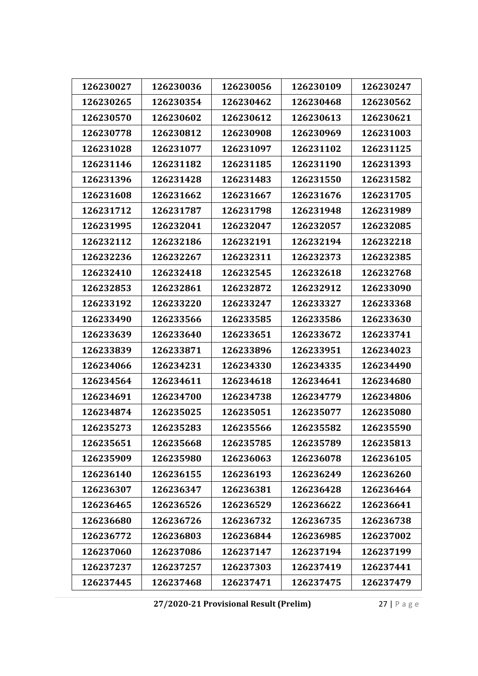| 126230027 | 126230036 | 126230056 | 126230109 | 126230247 |
|-----------|-----------|-----------|-----------|-----------|
| 126230265 | 126230354 | 126230462 | 126230468 | 126230562 |
| 126230570 | 126230602 | 126230612 | 126230613 | 126230621 |
| 126230778 | 126230812 | 126230908 | 126230969 | 126231003 |
| 126231028 | 126231077 | 126231097 | 126231102 | 126231125 |
| 126231146 | 126231182 | 126231185 | 126231190 | 126231393 |
| 126231396 | 126231428 | 126231483 | 126231550 | 126231582 |
| 126231608 | 126231662 | 126231667 | 126231676 | 126231705 |
| 126231712 | 126231787 | 126231798 | 126231948 | 126231989 |
| 126231995 | 126232041 | 126232047 | 126232057 | 126232085 |
| 126232112 | 126232186 | 126232191 | 126232194 | 126232218 |
| 126232236 | 126232267 | 126232311 | 126232373 | 126232385 |
| 126232410 | 126232418 | 126232545 | 126232618 | 126232768 |
| 126232853 | 126232861 | 126232872 | 126232912 | 126233090 |
| 126233192 | 126233220 | 126233247 | 126233327 | 126233368 |
| 126233490 | 126233566 | 126233585 | 126233586 | 126233630 |
| 126233639 | 126233640 | 126233651 | 126233672 | 126233741 |
| 126233839 | 126233871 | 126233896 | 126233951 | 126234023 |
| 126234066 | 126234231 | 126234330 | 126234335 | 126234490 |
| 126234564 | 126234611 | 126234618 | 126234641 | 126234680 |
| 126234691 | 126234700 | 126234738 | 126234779 | 126234806 |
| 126234874 | 126235025 | 126235051 | 126235077 | 126235080 |
| 126235273 | 126235283 | 126235566 | 126235582 | 126235590 |
| 126235651 | 126235668 | 126235785 | 126235789 | 126235813 |
| 126235909 | 126235980 | 126236063 | 126236078 | 126236105 |
| 126236140 | 126236155 | 126236193 | 126236249 | 126236260 |
| 126236307 | 126236347 | 126236381 | 126236428 | 126236464 |
| 126236465 | 126236526 | 126236529 | 126236622 | 126236641 |
| 126236680 | 126236726 | 126236732 | 126236735 | 126236738 |
| 126236772 | 126236803 | 126236844 | 126236985 | 126237002 |
| 126237060 | 126237086 | 126237147 | 126237194 | 126237199 |
| 126237237 | 126237257 | 126237303 | 126237419 | 126237441 |
| 126237445 | 126237468 | 126237471 | 126237475 | 126237479 |

**27/2020‐21 Provisional Result (Prelim)** 27 | Page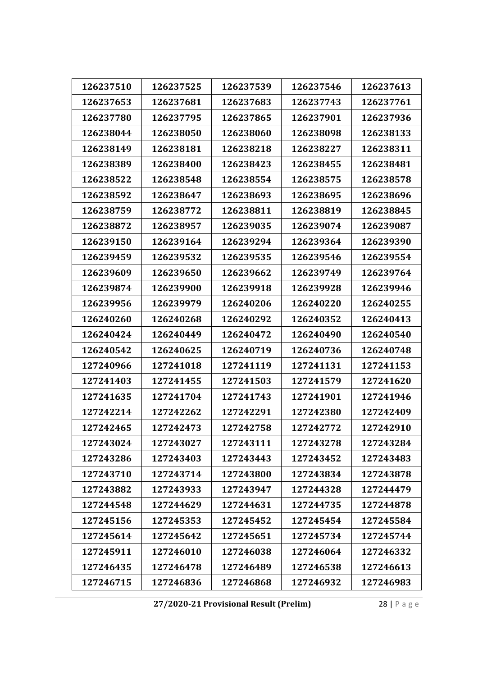| 126237510 | 126237525 | 126237539 | 126237546 | 126237613 |
|-----------|-----------|-----------|-----------|-----------|
| 126237653 | 126237681 | 126237683 | 126237743 | 126237761 |
| 126237780 | 126237795 | 126237865 | 126237901 | 126237936 |
| 126238044 | 126238050 | 126238060 | 126238098 | 126238133 |
| 126238149 | 126238181 | 126238218 | 126238227 | 126238311 |
| 126238389 | 126238400 | 126238423 | 126238455 | 126238481 |
| 126238522 | 126238548 | 126238554 | 126238575 | 126238578 |
| 126238592 | 126238647 | 126238693 | 126238695 | 126238696 |
| 126238759 | 126238772 | 126238811 | 126238819 | 126238845 |
| 126238872 | 126238957 | 126239035 | 126239074 | 126239087 |
| 126239150 | 126239164 | 126239294 | 126239364 | 126239390 |
| 126239459 | 126239532 | 126239535 | 126239546 | 126239554 |
| 126239609 | 126239650 | 126239662 | 126239749 | 126239764 |
| 126239874 | 126239900 | 126239918 | 126239928 | 126239946 |
| 126239956 | 126239979 | 126240206 | 126240220 | 126240255 |
| 126240260 | 126240268 | 126240292 | 126240352 | 126240413 |
| 126240424 | 126240449 | 126240472 | 126240490 | 126240540 |
| 126240542 | 126240625 | 126240719 | 126240736 | 126240748 |
| 127240966 | 127241018 | 127241119 | 127241131 | 127241153 |
| 127241403 | 127241455 | 127241503 | 127241579 | 127241620 |
| 127241635 | 127241704 | 127241743 | 127241901 | 127241946 |
| 127242214 | 127242262 | 127242291 | 127242380 | 127242409 |
| 127242465 | 127242473 | 127242758 | 127242772 | 127242910 |
| 127243024 | 127243027 | 127243111 | 127243278 | 127243284 |
| 127243286 | 127243403 | 127243443 | 127243452 | 127243483 |
| 127243710 | 127243714 | 127243800 | 127243834 | 127243878 |
| 127243882 | 127243933 | 127243947 | 127244328 | 127244479 |
| 127244548 | 127244629 | 127244631 | 127244735 | 127244878 |
| 127245156 | 127245353 | 127245452 | 127245454 | 127245584 |
| 127245614 | 127245642 | 127245651 | 127245734 | 127245744 |
| 127245911 | 127246010 | 127246038 | 127246064 | 127246332 |
| 127246435 | 127246478 | 127246489 | 127246538 | 127246613 |
| 127246715 | 127246836 | 127246868 | 127246932 | 127246983 |
|           |           |           |           |           |

**27/2020‐21 Provisional Result (Prelim)** 28 | Page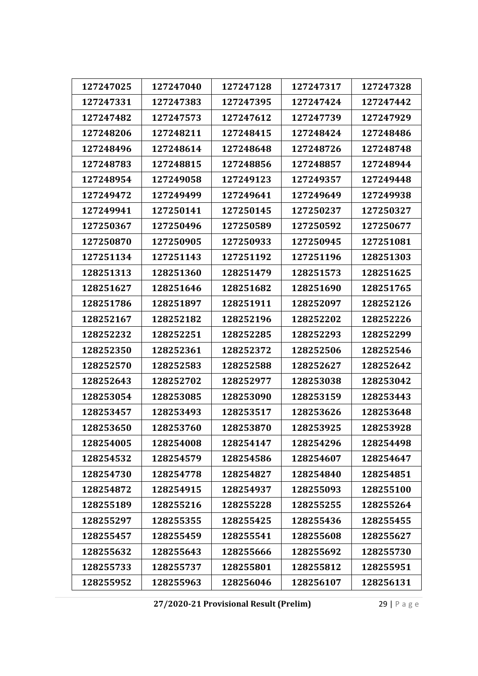| 127247040<br>127247025<br>127247128<br>127247317<br>127247328<br>127247331<br>127247383<br>127247395<br>127247424<br>127247442<br>127247482<br>127247573<br>127247612<br>127247739<br>127247929<br>127248206<br>127248211<br>127248415<br>127248424<br>127248486<br>127248614<br>127248496<br>127248648<br>127248726<br>127248748<br>127248783<br>127248815<br>127248857<br>127248944<br>127248856<br>127248954<br>127249058<br>127249123<br>127249357<br>127249448<br>127249472<br>127249499<br>127249641<br>127249649<br>127249938<br>127249941<br>127250141<br>127250145<br>127250237<br>127250327<br>127250367<br>127250496<br>127250589<br>127250592<br>127250677<br>127250870<br>127250905<br>127250933<br>127250945<br>127251081<br>127251134<br>127251143<br>127251192<br>127251196<br>128251303<br>128251313<br>128251360<br>128251479<br>128251573<br>128251625<br>128251627<br>128251646<br>128251682<br>128251690<br>128251765<br>128251786<br>128251897<br>128251911<br>128252097<br>128252126<br>128252167<br>128252182<br>128252196<br>128252202<br>128252226<br>128252232<br>128252251<br>128252285<br>128252293<br>128252299<br>128252350<br>128252361<br>128252372<br>128252506<br>128252546<br>128252583<br>128252627<br>128252570<br>128252588<br>128252642<br>128252643<br>128252702<br>128253038<br>128253042<br>128252977<br>128253085<br>128253054<br>128253090<br>128253159<br>128253443<br>128253626<br>128253648<br>128253457<br>128253493<br>128253517<br>128253650<br>128253870<br>128253928<br>128253760<br>128253925<br>128254005<br>128254008<br>128254147<br>128254296<br>128254498<br>128254532<br>128254579<br>128254586<br>128254607<br>128254647<br>128254730<br>128254840<br>128254851<br>128254778<br>128254827<br>128254872<br>128254915<br>128254937<br>128255093<br>128255100<br>128255189<br>128255216<br>128255255<br>128255264<br>128255228<br>128255297<br>128255355<br>128255425<br>128255436<br>128255455<br>128255457<br>128255459<br>128255541<br>128255608<br>128255627<br>128255632<br>128255643<br>128255666<br>128255692<br>128255730<br>128255733<br>128255801<br>128255812<br>128255951<br>128255737<br>128255952<br>128255963<br>128256046<br>128256107<br>128256131 |  |  |  |
|-------------------------------------------------------------------------------------------------------------------------------------------------------------------------------------------------------------------------------------------------------------------------------------------------------------------------------------------------------------------------------------------------------------------------------------------------------------------------------------------------------------------------------------------------------------------------------------------------------------------------------------------------------------------------------------------------------------------------------------------------------------------------------------------------------------------------------------------------------------------------------------------------------------------------------------------------------------------------------------------------------------------------------------------------------------------------------------------------------------------------------------------------------------------------------------------------------------------------------------------------------------------------------------------------------------------------------------------------------------------------------------------------------------------------------------------------------------------------------------------------------------------------------------------------------------------------------------------------------------------------------------------------------------------------------------------------------------------------------------------------------------------------------------------------------------------------------------------------------------------------------------------------------------------------------------------------------------------------------------------------------------------------------------------------------------------------------------------------------------------------------------------------------------------------------------------------------------------------------|--|--|--|
|                                                                                                                                                                                                                                                                                                                                                                                                                                                                                                                                                                                                                                                                                                                                                                                                                                                                                                                                                                                                                                                                                                                                                                                                                                                                                                                                                                                                                                                                                                                                                                                                                                                                                                                                                                                                                                                                                                                                                                                                                                                                                                                                                                                                                               |  |  |  |
|                                                                                                                                                                                                                                                                                                                                                                                                                                                                                                                                                                                                                                                                                                                                                                                                                                                                                                                                                                                                                                                                                                                                                                                                                                                                                                                                                                                                                                                                                                                                                                                                                                                                                                                                                                                                                                                                                                                                                                                                                                                                                                                                                                                                                               |  |  |  |
|                                                                                                                                                                                                                                                                                                                                                                                                                                                                                                                                                                                                                                                                                                                                                                                                                                                                                                                                                                                                                                                                                                                                                                                                                                                                                                                                                                                                                                                                                                                                                                                                                                                                                                                                                                                                                                                                                                                                                                                                                                                                                                                                                                                                                               |  |  |  |
|                                                                                                                                                                                                                                                                                                                                                                                                                                                                                                                                                                                                                                                                                                                                                                                                                                                                                                                                                                                                                                                                                                                                                                                                                                                                                                                                                                                                                                                                                                                                                                                                                                                                                                                                                                                                                                                                                                                                                                                                                                                                                                                                                                                                                               |  |  |  |
|                                                                                                                                                                                                                                                                                                                                                                                                                                                                                                                                                                                                                                                                                                                                                                                                                                                                                                                                                                                                                                                                                                                                                                                                                                                                                                                                                                                                                                                                                                                                                                                                                                                                                                                                                                                                                                                                                                                                                                                                                                                                                                                                                                                                                               |  |  |  |
|                                                                                                                                                                                                                                                                                                                                                                                                                                                                                                                                                                                                                                                                                                                                                                                                                                                                                                                                                                                                                                                                                                                                                                                                                                                                                                                                                                                                                                                                                                                                                                                                                                                                                                                                                                                                                                                                                                                                                                                                                                                                                                                                                                                                                               |  |  |  |
|                                                                                                                                                                                                                                                                                                                                                                                                                                                                                                                                                                                                                                                                                                                                                                                                                                                                                                                                                                                                                                                                                                                                                                                                                                                                                                                                                                                                                                                                                                                                                                                                                                                                                                                                                                                                                                                                                                                                                                                                                                                                                                                                                                                                                               |  |  |  |
|                                                                                                                                                                                                                                                                                                                                                                                                                                                                                                                                                                                                                                                                                                                                                                                                                                                                                                                                                                                                                                                                                                                                                                                                                                                                                                                                                                                                                                                                                                                                                                                                                                                                                                                                                                                                                                                                                                                                                                                                                                                                                                                                                                                                                               |  |  |  |
|                                                                                                                                                                                                                                                                                                                                                                                                                                                                                                                                                                                                                                                                                                                                                                                                                                                                                                                                                                                                                                                                                                                                                                                                                                                                                                                                                                                                                                                                                                                                                                                                                                                                                                                                                                                                                                                                                                                                                                                                                                                                                                                                                                                                                               |  |  |  |
|                                                                                                                                                                                                                                                                                                                                                                                                                                                                                                                                                                                                                                                                                                                                                                                                                                                                                                                                                                                                                                                                                                                                                                                                                                                                                                                                                                                                                                                                                                                                                                                                                                                                                                                                                                                                                                                                                                                                                                                                                                                                                                                                                                                                                               |  |  |  |
|                                                                                                                                                                                                                                                                                                                                                                                                                                                                                                                                                                                                                                                                                                                                                                                                                                                                                                                                                                                                                                                                                                                                                                                                                                                                                                                                                                                                                                                                                                                                                                                                                                                                                                                                                                                                                                                                                                                                                                                                                                                                                                                                                                                                                               |  |  |  |
|                                                                                                                                                                                                                                                                                                                                                                                                                                                                                                                                                                                                                                                                                                                                                                                                                                                                                                                                                                                                                                                                                                                                                                                                                                                                                                                                                                                                                                                                                                                                                                                                                                                                                                                                                                                                                                                                                                                                                                                                                                                                                                                                                                                                                               |  |  |  |
|                                                                                                                                                                                                                                                                                                                                                                                                                                                                                                                                                                                                                                                                                                                                                                                                                                                                                                                                                                                                                                                                                                                                                                                                                                                                                                                                                                                                                                                                                                                                                                                                                                                                                                                                                                                                                                                                                                                                                                                                                                                                                                                                                                                                                               |  |  |  |
|                                                                                                                                                                                                                                                                                                                                                                                                                                                                                                                                                                                                                                                                                                                                                                                                                                                                                                                                                                                                                                                                                                                                                                                                                                                                                                                                                                                                                                                                                                                                                                                                                                                                                                                                                                                                                                                                                                                                                                                                                                                                                                                                                                                                                               |  |  |  |
|                                                                                                                                                                                                                                                                                                                                                                                                                                                                                                                                                                                                                                                                                                                                                                                                                                                                                                                                                                                                                                                                                                                                                                                                                                                                                                                                                                                                                                                                                                                                                                                                                                                                                                                                                                                                                                                                                                                                                                                                                                                                                                                                                                                                                               |  |  |  |
|                                                                                                                                                                                                                                                                                                                                                                                                                                                                                                                                                                                                                                                                                                                                                                                                                                                                                                                                                                                                                                                                                                                                                                                                                                                                                                                                                                                                                                                                                                                                                                                                                                                                                                                                                                                                                                                                                                                                                                                                                                                                                                                                                                                                                               |  |  |  |
|                                                                                                                                                                                                                                                                                                                                                                                                                                                                                                                                                                                                                                                                                                                                                                                                                                                                                                                                                                                                                                                                                                                                                                                                                                                                                                                                                                                                                                                                                                                                                                                                                                                                                                                                                                                                                                                                                                                                                                                                                                                                                                                                                                                                                               |  |  |  |
|                                                                                                                                                                                                                                                                                                                                                                                                                                                                                                                                                                                                                                                                                                                                                                                                                                                                                                                                                                                                                                                                                                                                                                                                                                                                                                                                                                                                                                                                                                                                                                                                                                                                                                                                                                                                                                                                                                                                                                                                                                                                                                                                                                                                                               |  |  |  |
|                                                                                                                                                                                                                                                                                                                                                                                                                                                                                                                                                                                                                                                                                                                                                                                                                                                                                                                                                                                                                                                                                                                                                                                                                                                                                                                                                                                                                                                                                                                                                                                                                                                                                                                                                                                                                                                                                                                                                                                                                                                                                                                                                                                                                               |  |  |  |
|                                                                                                                                                                                                                                                                                                                                                                                                                                                                                                                                                                                                                                                                                                                                                                                                                                                                                                                                                                                                                                                                                                                                                                                                                                                                                                                                                                                                                                                                                                                                                                                                                                                                                                                                                                                                                                                                                                                                                                                                                                                                                                                                                                                                                               |  |  |  |
|                                                                                                                                                                                                                                                                                                                                                                                                                                                                                                                                                                                                                                                                                                                                                                                                                                                                                                                                                                                                                                                                                                                                                                                                                                                                                                                                                                                                                                                                                                                                                                                                                                                                                                                                                                                                                                                                                                                                                                                                                                                                                                                                                                                                                               |  |  |  |
|                                                                                                                                                                                                                                                                                                                                                                                                                                                                                                                                                                                                                                                                                                                                                                                                                                                                                                                                                                                                                                                                                                                                                                                                                                                                                                                                                                                                                                                                                                                                                                                                                                                                                                                                                                                                                                                                                                                                                                                                                                                                                                                                                                                                                               |  |  |  |
|                                                                                                                                                                                                                                                                                                                                                                                                                                                                                                                                                                                                                                                                                                                                                                                                                                                                                                                                                                                                                                                                                                                                                                                                                                                                                                                                                                                                                                                                                                                                                                                                                                                                                                                                                                                                                                                                                                                                                                                                                                                                                                                                                                                                                               |  |  |  |
|                                                                                                                                                                                                                                                                                                                                                                                                                                                                                                                                                                                                                                                                                                                                                                                                                                                                                                                                                                                                                                                                                                                                                                                                                                                                                                                                                                                                                                                                                                                                                                                                                                                                                                                                                                                                                                                                                                                                                                                                                                                                                                                                                                                                                               |  |  |  |
|                                                                                                                                                                                                                                                                                                                                                                                                                                                                                                                                                                                                                                                                                                                                                                                                                                                                                                                                                                                                                                                                                                                                                                                                                                                                                                                                                                                                                                                                                                                                                                                                                                                                                                                                                                                                                                                                                                                                                                                                                                                                                                                                                                                                                               |  |  |  |
|                                                                                                                                                                                                                                                                                                                                                                                                                                                                                                                                                                                                                                                                                                                                                                                                                                                                                                                                                                                                                                                                                                                                                                                                                                                                                                                                                                                                                                                                                                                                                                                                                                                                                                                                                                                                                                                                                                                                                                                                                                                                                                                                                                                                                               |  |  |  |
|                                                                                                                                                                                                                                                                                                                                                                                                                                                                                                                                                                                                                                                                                                                                                                                                                                                                                                                                                                                                                                                                                                                                                                                                                                                                                                                                                                                                                                                                                                                                                                                                                                                                                                                                                                                                                                                                                                                                                                                                                                                                                                                                                                                                                               |  |  |  |
|                                                                                                                                                                                                                                                                                                                                                                                                                                                                                                                                                                                                                                                                                                                                                                                                                                                                                                                                                                                                                                                                                                                                                                                                                                                                                                                                                                                                                                                                                                                                                                                                                                                                                                                                                                                                                                                                                                                                                                                                                                                                                                                                                                                                                               |  |  |  |
|                                                                                                                                                                                                                                                                                                                                                                                                                                                                                                                                                                                                                                                                                                                                                                                                                                                                                                                                                                                                                                                                                                                                                                                                                                                                                                                                                                                                                                                                                                                                                                                                                                                                                                                                                                                                                                                                                                                                                                                                                                                                                                                                                                                                                               |  |  |  |
|                                                                                                                                                                                                                                                                                                                                                                                                                                                                                                                                                                                                                                                                                                                                                                                                                                                                                                                                                                                                                                                                                                                                                                                                                                                                                                                                                                                                                                                                                                                                                                                                                                                                                                                                                                                                                                                                                                                                                                                                                                                                                                                                                                                                                               |  |  |  |
|                                                                                                                                                                                                                                                                                                                                                                                                                                                                                                                                                                                                                                                                                                                                                                                                                                                                                                                                                                                                                                                                                                                                                                                                                                                                                                                                                                                                                                                                                                                                                                                                                                                                                                                                                                                                                                                                                                                                                                                                                                                                                                                                                                                                                               |  |  |  |
|                                                                                                                                                                                                                                                                                                                                                                                                                                                                                                                                                                                                                                                                                                                                                                                                                                                                                                                                                                                                                                                                                                                                                                                                                                                                                                                                                                                                                                                                                                                                                                                                                                                                                                                                                                                                                                                                                                                                                                                                                                                                                                                                                                                                                               |  |  |  |
|                                                                                                                                                                                                                                                                                                                                                                                                                                                                                                                                                                                                                                                                                                                                                                                                                                                                                                                                                                                                                                                                                                                                                                                                                                                                                                                                                                                                                                                                                                                                                                                                                                                                                                                                                                                                                                                                                                                                                                                                                                                                                                                                                                                                                               |  |  |  |

**27/2020‐21 Provisional Result (Prelim)** 29 | Page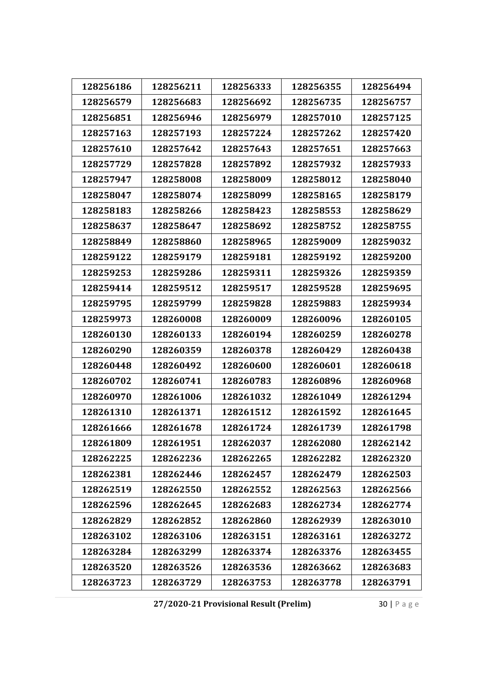| 128256186 | 128256211 | 128256333 | 128256355 | 128256494 |
|-----------|-----------|-----------|-----------|-----------|
| 128256579 | 128256683 | 128256692 | 128256735 | 128256757 |
| 128256851 | 128256946 | 128256979 | 128257010 | 128257125 |
| 128257163 | 128257193 | 128257224 | 128257262 | 128257420 |
| 128257610 | 128257642 | 128257643 | 128257651 | 128257663 |
| 128257729 | 128257828 | 128257892 | 128257932 | 128257933 |
| 128257947 | 128258008 | 128258009 | 128258012 | 128258040 |
| 128258047 | 128258074 | 128258099 | 128258165 | 128258179 |
| 128258183 | 128258266 | 128258423 | 128258553 | 128258629 |
| 128258637 | 128258647 | 128258692 | 128258752 | 128258755 |
| 128258849 | 128258860 | 128258965 | 128259009 | 128259032 |
| 128259122 | 128259179 | 128259181 | 128259192 | 128259200 |
| 128259253 | 128259286 | 128259311 | 128259326 | 128259359 |
| 128259414 | 128259512 | 128259517 | 128259528 | 128259695 |
| 128259795 | 128259799 | 128259828 | 128259883 | 128259934 |
| 128259973 | 128260008 | 128260009 | 128260096 | 128260105 |
| 128260130 | 128260133 | 128260194 | 128260259 | 128260278 |
| 128260290 | 128260359 | 128260378 | 128260429 | 128260438 |
| 128260448 | 128260492 | 128260600 | 128260601 | 128260618 |
| 128260702 | 128260741 | 128260783 | 128260896 | 128260968 |
| 128260970 | 128261006 | 128261032 | 128261049 | 128261294 |
| 128261310 | 128261371 | 128261512 | 128261592 | 128261645 |
| 128261666 | 128261678 | 128261724 | 128261739 | 128261798 |
| 128261809 | 128261951 | 128262037 | 128262080 | 128262142 |
| 128262225 | 128262236 | 128262265 | 128262282 | 128262320 |
| 128262381 | 128262446 | 128262457 | 128262479 | 128262503 |
| 128262519 | 128262550 | 128262552 | 128262563 | 128262566 |
| 128262596 | 128262645 | 128262683 | 128262734 | 128262774 |
| 128262829 | 128262852 | 128262860 | 128262939 | 128263010 |
| 128263102 | 128263106 | 128263151 | 128263161 | 128263272 |
| 128263284 | 128263299 | 128263374 | 128263376 | 128263455 |
| 128263520 | 128263526 | 128263536 | 128263662 | 128263683 |
| 128263723 | 128263729 | 128263753 | 128263778 | 128263791 |

**27/2020‐21 Provisional Result (Prelim)** 30 | Page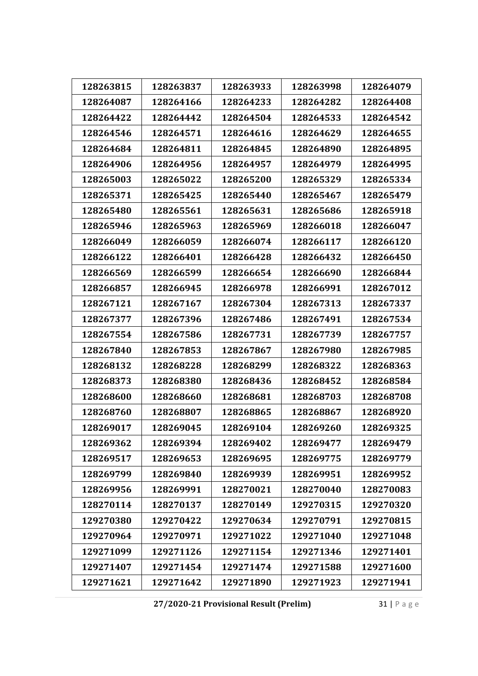| 128263815 | 128263837 | 128263933 | 128263998 | 128264079 |
|-----------|-----------|-----------|-----------|-----------|
| 128264087 | 128264166 | 128264233 | 128264282 | 128264408 |
| 128264422 | 128264442 | 128264504 | 128264533 | 128264542 |
| 128264546 | 128264571 | 128264616 | 128264629 | 128264655 |
| 128264684 | 128264811 | 128264845 | 128264890 | 128264895 |
| 128264906 | 128264956 | 128264957 | 128264979 | 128264995 |
| 128265003 | 128265022 | 128265200 | 128265329 | 128265334 |
| 128265371 | 128265425 | 128265440 | 128265467 | 128265479 |
| 128265480 | 128265561 | 128265631 | 128265686 | 128265918 |
| 128265946 | 128265963 | 128265969 | 128266018 | 128266047 |
| 128266049 | 128266059 | 128266074 | 128266117 | 128266120 |
| 128266122 | 128266401 | 128266428 | 128266432 | 128266450 |
| 128266569 | 128266599 | 128266654 | 128266690 | 128266844 |
| 128266857 | 128266945 | 128266978 | 128266991 | 128267012 |
| 128267121 | 128267167 | 128267304 | 128267313 | 128267337 |
| 128267377 | 128267396 | 128267486 | 128267491 | 128267534 |
| 128267554 | 128267586 | 128267731 | 128267739 | 128267757 |
| 128267840 | 128267853 | 128267867 | 128267980 | 128267985 |
| 128268132 | 128268228 | 128268299 | 128268322 | 128268363 |
| 128268373 | 128268380 | 128268436 | 128268452 | 128268584 |
| 128268600 | 128268660 | 128268681 | 128268703 | 128268708 |
| 128268760 | 128268807 | 128268865 | 128268867 | 128268920 |
| 128269017 | 128269045 | 128269104 | 128269260 | 128269325 |
| 128269362 | 128269394 | 128269402 | 128269477 | 128269479 |
| 128269517 | 128269653 | 128269695 | 128269775 | 128269779 |
| 128269799 | 128269840 | 128269939 | 128269951 | 128269952 |
| 128269956 | 128269991 | 128270021 | 128270040 | 128270083 |
| 128270114 | 128270137 | 128270149 | 129270315 | 129270320 |
| 129270380 | 129270422 | 129270634 | 129270791 | 129270815 |
| 129270964 | 129270971 | 129271022 | 129271040 | 129271048 |
| 129271099 | 129271126 | 129271154 | 129271346 | 129271401 |
| 129271407 | 129271454 | 129271474 | 129271588 | 129271600 |
| 129271621 | 129271642 | 129271890 | 129271923 | 129271941 |

**27/2020‐21 Provisional Result (Prelim)** 31 | Page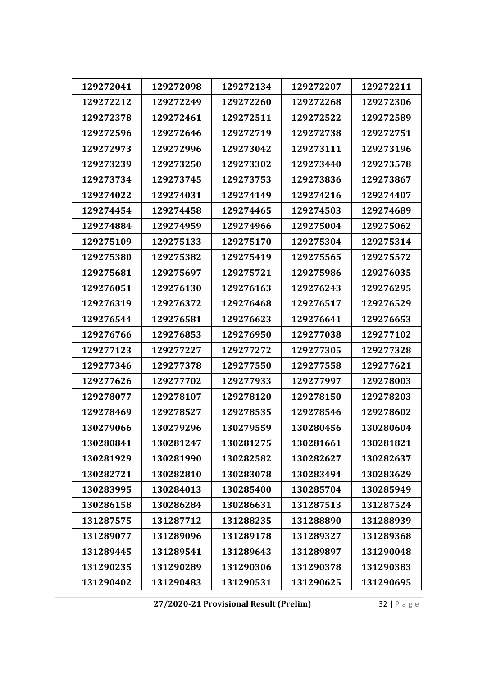| 129272041<br>129272098<br>129272134<br>129272207<br>129272211<br>129272249<br>129272260<br>129272306<br>129272212<br>129272268<br>129272378<br>129272461<br>129272511<br>129272522<br>129272589<br>129272596<br>129272646<br>129272719<br>129272738<br>129272751<br>129272973<br>129272996<br>129273042<br>129273111<br>129273196<br>129273250<br>129273440<br>129273239<br>129273302<br>129273578<br>129273734<br>129273745<br>129273753<br>129273836<br>129273867<br>129274022<br>129274031<br>129274149<br>129274216<br>129274407<br>129274454<br>129274458<br>129274465<br>129274503<br>129274689<br>129274959<br>129275004<br>129274884<br>129274966<br>129275062<br>129275109<br>129275133<br>129275170<br>129275304<br>129275314<br>129275380<br>129275382<br>129275419<br>129275565<br>129275572<br>129275681<br>129275697<br>129275721<br>129275986<br>129276035<br>129276051<br>129276130<br>129276163<br>129276243<br>129276295<br>129276319<br>129276372<br>129276468<br>129276517<br>129276529<br>129276544<br>129276581<br>129276623<br>129276641<br>129276653<br>129276766<br>129276853<br>129276950<br>129277038<br>129277102<br>129277123<br>129277227<br>129277272<br>129277305<br>129277328<br>129277346<br>129277378<br>129277550<br>129277558<br>129277621<br>129277626<br>129277702<br>129277933<br>129277997<br>129278003<br>129278077<br>129278107<br>129278120<br>129278150<br>129278203<br>129278469<br>129278546<br>129278602<br>129278527<br>129278535<br>130279296<br>130279559<br>130279066<br>130280456<br>130280604<br>130281661<br>130280841<br>130281247<br>130281275<br>130281821<br>130281929<br>130281990<br>130282582<br>130282627<br>130282637<br>130282721<br>130282810<br>130283078<br>130283494<br>130283629<br>130283995<br>130284013<br>130285400<br>130285704<br>130285949<br>130286158<br>130286284<br>130286631<br>131287513<br>131287524<br>131288939<br>131287575<br>131287712<br>131288235<br>131288890<br>131289077<br>131289096<br>131289178<br>131289327<br>131289368<br>131289445<br>131289541<br>131289643<br>131289897<br>131290048<br>131290235<br>131290289<br>131290306<br>131290378<br>131290383<br>131290402<br>131290483<br>131290531<br>131290625<br>131290695 |  |  |  |
|-------------------------------------------------------------------------------------------------------------------------------------------------------------------------------------------------------------------------------------------------------------------------------------------------------------------------------------------------------------------------------------------------------------------------------------------------------------------------------------------------------------------------------------------------------------------------------------------------------------------------------------------------------------------------------------------------------------------------------------------------------------------------------------------------------------------------------------------------------------------------------------------------------------------------------------------------------------------------------------------------------------------------------------------------------------------------------------------------------------------------------------------------------------------------------------------------------------------------------------------------------------------------------------------------------------------------------------------------------------------------------------------------------------------------------------------------------------------------------------------------------------------------------------------------------------------------------------------------------------------------------------------------------------------------------------------------------------------------------------------------------------------------------------------------------------------------------------------------------------------------------------------------------------------------------------------------------------------------------------------------------------------------------------------------------------------------------------------------------------------------------------------------------------------------------------------------------------------------------|--|--|--|
|                                                                                                                                                                                                                                                                                                                                                                                                                                                                                                                                                                                                                                                                                                                                                                                                                                                                                                                                                                                                                                                                                                                                                                                                                                                                                                                                                                                                                                                                                                                                                                                                                                                                                                                                                                                                                                                                                                                                                                                                                                                                                                                                                                                                                               |  |  |  |
|                                                                                                                                                                                                                                                                                                                                                                                                                                                                                                                                                                                                                                                                                                                                                                                                                                                                                                                                                                                                                                                                                                                                                                                                                                                                                                                                                                                                                                                                                                                                                                                                                                                                                                                                                                                                                                                                                                                                                                                                                                                                                                                                                                                                                               |  |  |  |
|                                                                                                                                                                                                                                                                                                                                                                                                                                                                                                                                                                                                                                                                                                                                                                                                                                                                                                                                                                                                                                                                                                                                                                                                                                                                                                                                                                                                                                                                                                                                                                                                                                                                                                                                                                                                                                                                                                                                                                                                                                                                                                                                                                                                                               |  |  |  |
|                                                                                                                                                                                                                                                                                                                                                                                                                                                                                                                                                                                                                                                                                                                                                                                                                                                                                                                                                                                                                                                                                                                                                                                                                                                                                                                                                                                                                                                                                                                                                                                                                                                                                                                                                                                                                                                                                                                                                                                                                                                                                                                                                                                                                               |  |  |  |
|                                                                                                                                                                                                                                                                                                                                                                                                                                                                                                                                                                                                                                                                                                                                                                                                                                                                                                                                                                                                                                                                                                                                                                                                                                                                                                                                                                                                                                                                                                                                                                                                                                                                                                                                                                                                                                                                                                                                                                                                                                                                                                                                                                                                                               |  |  |  |
|                                                                                                                                                                                                                                                                                                                                                                                                                                                                                                                                                                                                                                                                                                                                                                                                                                                                                                                                                                                                                                                                                                                                                                                                                                                                                                                                                                                                                                                                                                                                                                                                                                                                                                                                                                                                                                                                                                                                                                                                                                                                                                                                                                                                                               |  |  |  |
|                                                                                                                                                                                                                                                                                                                                                                                                                                                                                                                                                                                                                                                                                                                                                                                                                                                                                                                                                                                                                                                                                                                                                                                                                                                                                                                                                                                                                                                                                                                                                                                                                                                                                                                                                                                                                                                                                                                                                                                                                                                                                                                                                                                                                               |  |  |  |
|                                                                                                                                                                                                                                                                                                                                                                                                                                                                                                                                                                                                                                                                                                                                                                                                                                                                                                                                                                                                                                                                                                                                                                                                                                                                                                                                                                                                                                                                                                                                                                                                                                                                                                                                                                                                                                                                                                                                                                                                                                                                                                                                                                                                                               |  |  |  |
|                                                                                                                                                                                                                                                                                                                                                                                                                                                                                                                                                                                                                                                                                                                                                                                                                                                                                                                                                                                                                                                                                                                                                                                                                                                                                                                                                                                                                                                                                                                                                                                                                                                                                                                                                                                                                                                                                                                                                                                                                                                                                                                                                                                                                               |  |  |  |
|                                                                                                                                                                                                                                                                                                                                                                                                                                                                                                                                                                                                                                                                                                                                                                                                                                                                                                                                                                                                                                                                                                                                                                                                                                                                                                                                                                                                                                                                                                                                                                                                                                                                                                                                                                                                                                                                                                                                                                                                                                                                                                                                                                                                                               |  |  |  |
|                                                                                                                                                                                                                                                                                                                                                                                                                                                                                                                                                                                                                                                                                                                                                                                                                                                                                                                                                                                                                                                                                                                                                                                                                                                                                                                                                                                                                                                                                                                                                                                                                                                                                                                                                                                                                                                                                                                                                                                                                                                                                                                                                                                                                               |  |  |  |
|                                                                                                                                                                                                                                                                                                                                                                                                                                                                                                                                                                                                                                                                                                                                                                                                                                                                                                                                                                                                                                                                                                                                                                                                                                                                                                                                                                                                                                                                                                                                                                                                                                                                                                                                                                                                                                                                                                                                                                                                                                                                                                                                                                                                                               |  |  |  |
|                                                                                                                                                                                                                                                                                                                                                                                                                                                                                                                                                                                                                                                                                                                                                                                                                                                                                                                                                                                                                                                                                                                                                                                                                                                                                                                                                                                                                                                                                                                                                                                                                                                                                                                                                                                                                                                                                                                                                                                                                                                                                                                                                                                                                               |  |  |  |
|                                                                                                                                                                                                                                                                                                                                                                                                                                                                                                                                                                                                                                                                                                                                                                                                                                                                                                                                                                                                                                                                                                                                                                                                                                                                                                                                                                                                                                                                                                                                                                                                                                                                                                                                                                                                                                                                                                                                                                                                                                                                                                                                                                                                                               |  |  |  |
|                                                                                                                                                                                                                                                                                                                                                                                                                                                                                                                                                                                                                                                                                                                                                                                                                                                                                                                                                                                                                                                                                                                                                                                                                                                                                                                                                                                                                                                                                                                                                                                                                                                                                                                                                                                                                                                                                                                                                                                                                                                                                                                                                                                                                               |  |  |  |
|                                                                                                                                                                                                                                                                                                                                                                                                                                                                                                                                                                                                                                                                                                                                                                                                                                                                                                                                                                                                                                                                                                                                                                                                                                                                                                                                                                                                                                                                                                                                                                                                                                                                                                                                                                                                                                                                                                                                                                                                                                                                                                                                                                                                                               |  |  |  |
|                                                                                                                                                                                                                                                                                                                                                                                                                                                                                                                                                                                                                                                                                                                                                                                                                                                                                                                                                                                                                                                                                                                                                                                                                                                                                                                                                                                                                                                                                                                                                                                                                                                                                                                                                                                                                                                                                                                                                                                                                                                                                                                                                                                                                               |  |  |  |
|                                                                                                                                                                                                                                                                                                                                                                                                                                                                                                                                                                                                                                                                                                                                                                                                                                                                                                                                                                                                                                                                                                                                                                                                                                                                                                                                                                                                                                                                                                                                                                                                                                                                                                                                                                                                                                                                                                                                                                                                                                                                                                                                                                                                                               |  |  |  |
|                                                                                                                                                                                                                                                                                                                                                                                                                                                                                                                                                                                                                                                                                                                                                                                                                                                                                                                                                                                                                                                                                                                                                                                                                                                                                                                                                                                                                                                                                                                                                                                                                                                                                                                                                                                                                                                                                                                                                                                                                                                                                                                                                                                                                               |  |  |  |
|                                                                                                                                                                                                                                                                                                                                                                                                                                                                                                                                                                                                                                                                                                                                                                                                                                                                                                                                                                                                                                                                                                                                                                                                                                                                                                                                                                                                                                                                                                                                                                                                                                                                                                                                                                                                                                                                                                                                                                                                                                                                                                                                                                                                                               |  |  |  |
|                                                                                                                                                                                                                                                                                                                                                                                                                                                                                                                                                                                                                                                                                                                                                                                                                                                                                                                                                                                                                                                                                                                                                                                                                                                                                                                                                                                                                                                                                                                                                                                                                                                                                                                                                                                                                                                                                                                                                                                                                                                                                                                                                                                                                               |  |  |  |
|                                                                                                                                                                                                                                                                                                                                                                                                                                                                                                                                                                                                                                                                                                                                                                                                                                                                                                                                                                                                                                                                                                                                                                                                                                                                                                                                                                                                                                                                                                                                                                                                                                                                                                                                                                                                                                                                                                                                                                                                                                                                                                                                                                                                                               |  |  |  |
|                                                                                                                                                                                                                                                                                                                                                                                                                                                                                                                                                                                                                                                                                                                                                                                                                                                                                                                                                                                                                                                                                                                                                                                                                                                                                                                                                                                                                                                                                                                                                                                                                                                                                                                                                                                                                                                                                                                                                                                                                                                                                                                                                                                                                               |  |  |  |
|                                                                                                                                                                                                                                                                                                                                                                                                                                                                                                                                                                                                                                                                                                                                                                                                                                                                                                                                                                                                                                                                                                                                                                                                                                                                                                                                                                                                                                                                                                                                                                                                                                                                                                                                                                                                                                                                                                                                                                                                                                                                                                                                                                                                                               |  |  |  |
|                                                                                                                                                                                                                                                                                                                                                                                                                                                                                                                                                                                                                                                                                                                                                                                                                                                                                                                                                                                                                                                                                                                                                                                                                                                                                                                                                                                                                                                                                                                                                                                                                                                                                                                                                                                                                                                                                                                                                                                                                                                                                                                                                                                                                               |  |  |  |
|                                                                                                                                                                                                                                                                                                                                                                                                                                                                                                                                                                                                                                                                                                                                                                                                                                                                                                                                                                                                                                                                                                                                                                                                                                                                                                                                                                                                                                                                                                                                                                                                                                                                                                                                                                                                                                                                                                                                                                                                                                                                                                                                                                                                                               |  |  |  |
|                                                                                                                                                                                                                                                                                                                                                                                                                                                                                                                                                                                                                                                                                                                                                                                                                                                                                                                                                                                                                                                                                                                                                                                                                                                                                                                                                                                                                                                                                                                                                                                                                                                                                                                                                                                                                                                                                                                                                                                                                                                                                                                                                                                                                               |  |  |  |
|                                                                                                                                                                                                                                                                                                                                                                                                                                                                                                                                                                                                                                                                                                                                                                                                                                                                                                                                                                                                                                                                                                                                                                                                                                                                                                                                                                                                                                                                                                                                                                                                                                                                                                                                                                                                                                                                                                                                                                                                                                                                                                                                                                                                                               |  |  |  |
|                                                                                                                                                                                                                                                                                                                                                                                                                                                                                                                                                                                                                                                                                                                                                                                                                                                                                                                                                                                                                                                                                                                                                                                                                                                                                                                                                                                                                                                                                                                                                                                                                                                                                                                                                                                                                                                                                                                                                                                                                                                                                                                                                                                                                               |  |  |  |
|                                                                                                                                                                                                                                                                                                                                                                                                                                                                                                                                                                                                                                                                                                                                                                                                                                                                                                                                                                                                                                                                                                                                                                                                                                                                                                                                                                                                                                                                                                                                                                                                                                                                                                                                                                                                                                                                                                                                                                                                                                                                                                                                                                                                                               |  |  |  |
|                                                                                                                                                                                                                                                                                                                                                                                                                                                                                                                                                                                                                                                                                                                                                                                                                                                                                                                                                                                                                                                                                                                                                                                                                                                                                                                                                                                                                                                                                                                                                                                                                                                                                                                                                                                                                                                                                                                                                                                                                                                                                                                                                                                                                               |  |  |  |
|                                                                                                                                                                                                                                                                                                                                                                                                                                                                                                                                                                                                                                                                                                                                                                                                                                                                                                                                                                                                                                                                                                                                                                                                                                                                                                                                                                                                                                                                                                                                                                                                                                                                                                                                                                                                                                                                                                                                                                                                                                                                                                                                                                                                                               |  |  |  |
|                                                                                                                                                                                                                                                                                                                                                                                                                                                                                                                                                                                                                                                                                                                                                                                                                                                                                                                                                                                                                                                                                                                                                                                                                                                                                                                                                                                                                                                                                                                                                                                                                                                                                                                                                                                                                                                                                                                                                                                                                                                                                                                                                                                                                               |  |  |  |

**27/2020‐21 Provisional Result (Prelim)** 32 | Page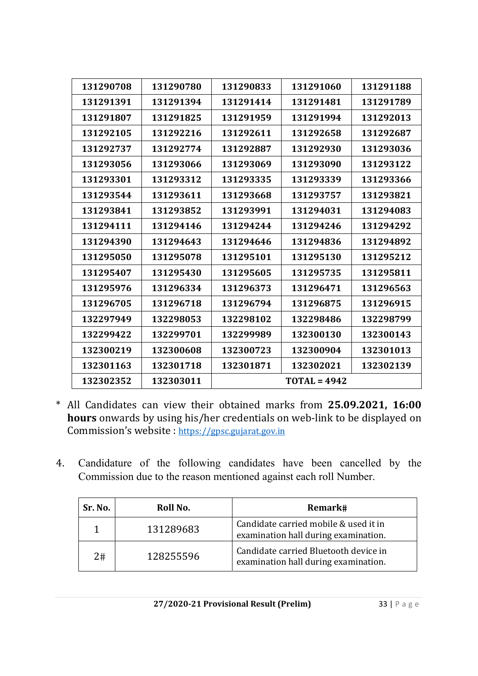| 131290708 | 131290780 | 131290833 | 131291060      | 131291188 |
|-----------|-----------|-----------|----------------|-----------|
| 131291391 | 131291394 | 131291414 | 131291481      | 131291789 |
| 131291807 | 131291825 | 131291959 | 131291994      | 131292013 |
| 131292105 | 131292216 | 131292611 | 131292658      | 131292687 |
| 131292737 | 131292774 | 131292887 | 131292930      | 131293036 |
| 131293056 | 131293066 | 131293069 | 131293090      | 131293122 |
| 131293301 | 131293312 | 131293335 | 131293339      | 131293366 |
| 131293544 | 131293611 | 131293668 | 131293757      | 131293821 |
| 131293841 | 131293852 | 131293991 | 131294031      | 131294083 |
| 131294111 | 131294146 | 131294244 | 131294246      | 131294292 |
| 131294390 | 131294643 | 131294646 | 131294836      | 131294892 |
| 131295050 | 131295078 | 131295101 | 131295130      | 131295212 |
| 131295407 | 131295430 | 131295605 | 131295735      | 131295811 |
| 131295976 | 131296334 | 131296373 | 131296471      | 131296563 |
| 131296705 | 131296718 | 131296794 | 131296875      | 131296915 |
| 132297949 | 132298053 | 132298102 | 132298486      | 132298799 |
| 132299422 | 132299701 | 132299989 | 132300130      | 132300143 |
| 132300219 | 132300608 | 132300723 | 132300904      | 132301013 |
| 132301163 | 132301718 | 132301871 | 132302021      | 132302139 |
| 132302352 | 132303011 |           | $TOTAL = 4942$ |           |

- \* All Candidates can view their obtained marks from **25.09.2021, 16:00 hours** onwards by using his/her credentials on web-link to be displayed on Commission's website : https://gpsc.gujarat.gov.in
- 4. Candidature of the following candidates have been cancelled by the Commission due to the reason mentioned against each roll Number.

| Sr. No. | Roll No.  | Remark#                                                                       |
|---------|-----------|-------------------------------------------------------------------------------|
|         | 131289683 | Candidate carried mobile & used it in<br>examination hall during examination. |
| 2#      | 128255596 | Candidate carried Bluetooth device in<br>examination hall during examination. |